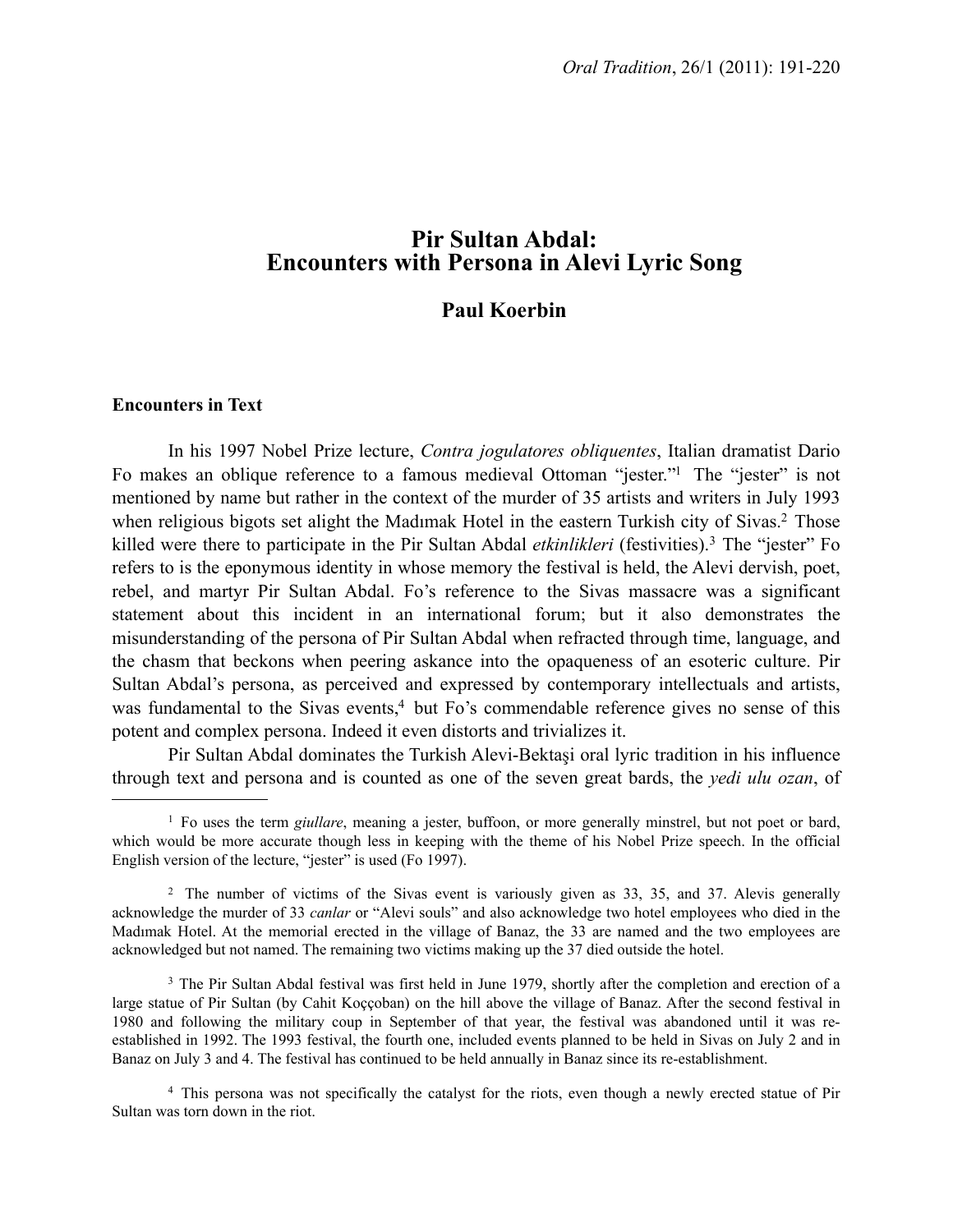# **Pir Sultan Abdal: Encounters with Persona in Alevi Lyric Song**

## **Paul Koerbin**

## **Encounters in Text**

In his 1997 Nobel Prize lecture, *Contra jogulatores obliquentes*, Italian dramatist Dario Fo makes an oblique reference to a famous medieval Ottoman "jester.["1](#page-0-0) The "jester" is not mentioned by name but rather in the context of the murder of 35 artists and writers in July 1993 when religious bigots set alight the Madimak Hotel in the eastern Turkish city of Sivas.<sup>2</sup> Those killed were there to participate in the Pir Sultan Abdal *etkinlikleri* (festivities).[3](#page-0-2) The "jester" Fo refers to is the eponymous identity in whose memory the festival is held, the Alevi dervish, poet, rebel, and martyr Pir Sultan Abdal. Fo's reference to the Sivas massacre was a significant statement about this incident in an international forum; but it also demonstrates the misunderstanding of the persona of Pir Sultan Abdal when refracted through time, language, and the chasm that beckons when peering askance into the opaqueness of an esoteric culture. Pir Sultan Abdal's persona, as perceived and expressed by contemporary intellectuals and artists, was fundamental to the Sivas events,<sup>4</sup> but Fo's commendable reference gives no sense of this potent and complex persona. Indeed it even distorts and trivializes it.

Pir Sultan Abdal dominates the Turkish Alevi-Bektaşi oral lyric tradition in his influence through text and persona and is counted as one of the seven great bards, the *yedi ulu ozan*, of

<span id="page-0-0"></span><sup>&</sup>lt;sup>1</sup> Fo uses the term *giullare*, meaning a jester, buffoon, or more generally minstrel, but not poet or bard, which would be more accurate though less in keeping with the theme of his Nobel Prize speech. In the official English version of the lecture, "jester" is used (Fo 1997).

<span id="page-0-1"></span><sup>&</sup>lt;sup>2</sup> The number of victims of the Sivas event is variously given as 33, 35, and 37. Alevis generally acknowledge the murder of 33 *canlar* or "Alevi souls" and also acknowledge two hotel employees who died in the Madımak Hotel. At the memorial erected in the village of Banaz, the 33 are named and the two employees are acknowledged but not named. The remaining two victims making up the 37 died outside the hotel.

<span id="page-0-2"></span><sup>&</sup>lt;sup>3</sup> The Pir Sultan Abdal festival was first held in June 1979, shortly after the completion and erection of a large statue of Pir Sultan (by Cahit Koççoban) on the hill above the village of Banaz. After the second festival in 1980 and following the military coup in September of that year, the festival was abandoned until it was reestablished in 1992. The 1993 festival, the fourth one, included events planned to be held in Sivas on July 2 and in Banaz on July 3 and 4. The festival has continued to be held annually in Banaz since its re-establishment.

<span id="page-0-3"></span><sup>4</sup> This persona was not specifically the catalyst for the riots, even though a newly erected statue of Pir Sultan was torn down in the riot.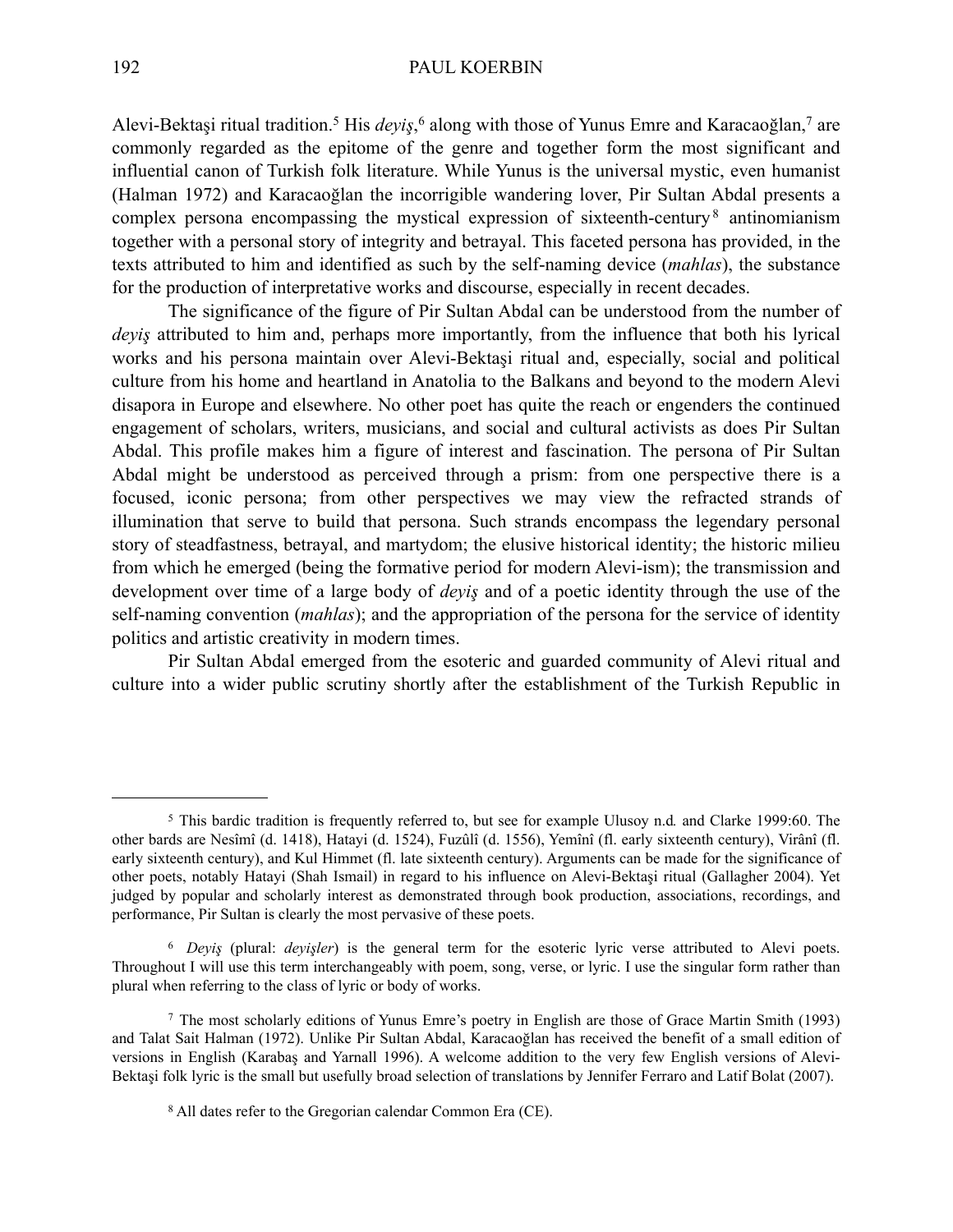Alevi-Bektaşi ritual tradition.[5](#page-1-0) His *deyiş*, [6](#page-1-1) along with those of Yunus Emre and Karacaoğlan[,7](#page-1-2) are commonly regarded as the epitome of the genre and together form the most significant and influential canon of Turkish folk literature. While Yunus is the universal mystic, even humanist (Halman 1972) and Karacaoğlan the incorrigible wandering lover, Pir Sultan Abdal presents a complex persona encompassing the mystical expression of sixteenth-century<sup>[8](#page-1-3)</sup> antinomianism together with a personal story of integrity and betrayal. This faceted persona has provided, in the texts attributed to him and identified as such by the self-naming device (*mahlas*), the substance for the production of interpretative works and discourse, especially in recent decades.

The significance of the figure of Pir Sultan Abdal can be understood from the number of *deyiş* attributed to him and, perhaps more importantly, from the influence that both his lyrical works and his persona maintain over Alevi-Bektaşi ritual and, especially, social and political culture from his home and heartland in Anatolia to the Balkans and beyond to the modern Alevi disapora in Europe and elsewhere. No other poet has quite the reach or engenders the continued engagement of scholars, writers, musicians, and social and cultural activists as does Pir Sultan Abdal. This profile makes him a figure of interest and fascination. The persona of Pir Sultan Abdal might be understood as perceived through a prism: from one perspective there is a focused, iconic persona; from other perspectives we may view the refracted strands of illumination that serve to build that persona. Such strands encompass the legendary personal story of steadfastness, betrayal, and martydom; the elusive historical identity; the historic milieu from which he emerged (being the formative period for modern Alevi-ism); the transmission and development over time of a large body of *deyiş* and of a poetic identity through the use of the self-naming convention (*mahlas*); and the appropriation of the persona for the service of identity politics and artistic creativity in modern times.

Pir Sultan Abdal emerged from the esoteric and guarded community of Alevi ritual and culture into a wider public scrutiny shortly after the establishment of the Turkish Republic in

<span id="page-1-0"></span><sup>5</sup> This bardic tradition is frequently referred to, but see for example Ulusoy n.d*.* and Clarke 1999:60. The other bards are Nesîmî (d. 1418), Hatayi (d. 1524), Fuzûlî (d. 1556), Yemînî (fl. early sixteenth century), Virânî (fl. early sixteenth century), and Kul Himmet (fl. late sixteenth century). Arguments can be made for the significance of other poets, notably Hatayi (Shah Ismail) in regard to his influence on Alevi-Bektaşi ritual (Gallagher 2004). Yet judged by popular and scholarly interest as demonstrated through book production, associations, recordings, and performance, Pir Sultan is clearly the most pervasive of these poets.

<span id="page-1-1"></span><sup>6</sup> *Deyiş* (plural: *deyişler*) is the general term for the esoteric lyric verse attributed to Alevi poets. Throughout I will use this term interchangeably with poem, song, verse, or lyric. I use the singular form rather than plural when referring to the class of lyric or body of works.

<span id="page-1-2"></span><sup>7</sup> The most scholarly editions of Yunus Emre's poetry in English are those of Grace Martin Smith (1993) and Talat Sait Halman (1972). Unlike Pir Sultan Abdal, Karacaoğlan has received the benefit of a small edition of versions in English (Karabaş and Yarnall 1996). A welcome addition to the very few English versions of Alevi-Bektaşi folk lyric is the small but usefully broad selection of translations by Jennifer Ferraro and Latif Bolat (2007).

<span id="page-1-3"></span><sup>8</sup> All dates refer to the Gregorian calendar Common Era (CE).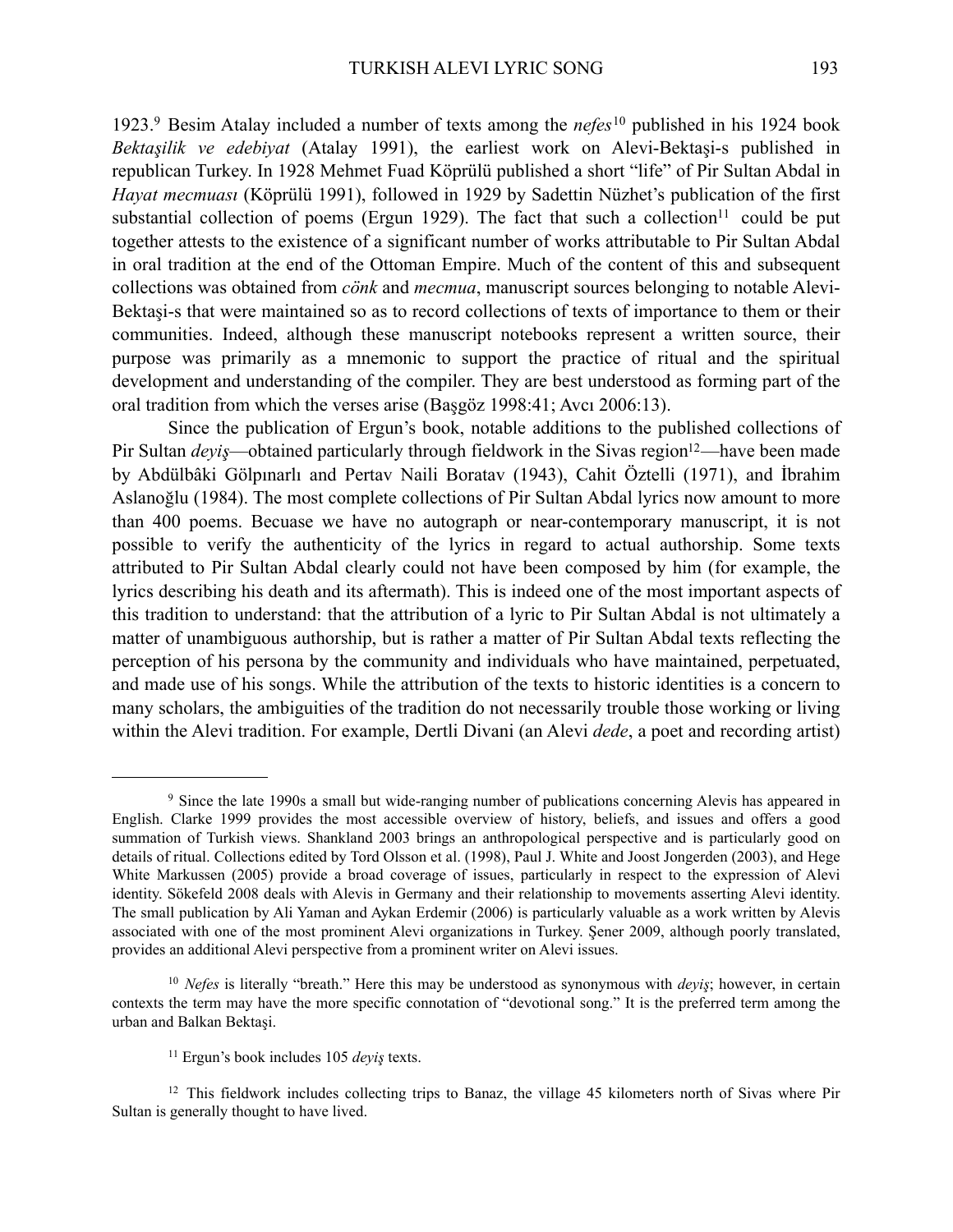1923.[9](#page-2-0) Besim Atalay included a number of texts among the *nefes*[10](#page-2-1) published in his 1924 book *Bektaşilik ve edebiyat* (Atalay 1991), the earliest work on Alevi-Bektaşi-s published in republican Turkey. In 1928 Mehmet Fuad Köprülü published a short "life" of Pir Sultan Abdal in *Hayat mecmuası* (Köprülü 1991), followed in 1929 by Sadettin Nüzhet's publication of the first substantial collection of poems (Ergun 1929). The fact that such a collection<sup>11</sup> could be put together attests to the existence of a significant number of works attributable to Pir Sultan Abdal in oral tradition at the end of the Ottoman Empire. Much of the content of this and subsequent collections was obtained from *cönk* and *mecmua*, manuscript sources belonging to notable Alevi-Bektaşi-s that were maintained so as to record collections of texts of importance to them or their communities. Indeed, although these manuscript notebooks represent a written source, their purpose was primarily as a mnemonic to support the practice of ritual and the spiritual development and understanding of the compiler. They are best understood as forming part of the oral tradition from which the verses arise (Başgöz 1998:41; Avcı 2006:13).

Since the publication of Ergun's book, notable additions to the published collections of Pir Sultan *deyis*—obtained particularly through fieldwork in the Sivas region<sup>12</sup>—have been made by Abdülbâki Gölpınarlı and Pertav Naili Boratav (1943), Cahit Öztelli (1971), and İbrahim Aslanoğlu (1984). The most complete collections of Pir Sultan Abdal lyrics now amount to more than 400 poems. Becuase we have no autograph or near-contemporary manuscript, it is not possible to verify the authenticity of the lyrics in regard to actual authorship. Some texts attributed to Pir Sultan Abdal clearly could not have been composed by him (for example, the lyrics describing his death and its aftermath). This is indeed one of the most important aspects of this tradition to understand: that the attribution of a lyric to Pir Sultan Abdal is not ultimately a matter of unambiguous authorship, but is rather a matter of Pir Sultan Abdal texts reflecting the perception of his persona by the community and individuals who have maintained, perpetuated, and made use of his songs. While the attribution of the texts to historic identities is a concern to many scholars, the ambiguities of the tradition do not necessarily trouble those working or living within the Alevi tradition. For example, Dertli Divani (an Alevi *dede*, a poet and recording artist)

<span id="page-2-0"></span><sup>9</sup> Since the late 1990s a small but wide-ranging number of publications concerning Alevis has appeared in English. Clarke 1999 provides the most accessible overview of history, beliefs, and issues and offers a good summation of Turkish views. Shankland 2003 brings an anthropological perspective and is particularly good on details of ritual. Collections edited by Tord Olsson et al. (1998), Paul J. White and Joost Jongerden (2003), and Hege White Markussen (2005) provide a broad coverage of issues, particularly in respect to the expression of Alevi identity. Sökefeld 2008 deals with Alevis in Germany and their relationship to movements asserting Alevi identity. The small publication by Ali Yaman and Aykan Erdemir (2006) is particularly valuable as a work written by Alevis associated with one of the most prominent Alevi organizations in Turkey. Şener 2009, although poorly translated, provides an additional Alevi perspective from a prominent writer on Alevi issues.

<span id="page-2-1"></span><sup>10</sup> *Nefes* is literally "breath." Here this may be understood as synonymous with *deyiş*; however, in certain contexts the term may have the more specific connotation of "devotional song." It is the preferred term among the urban and Balkan Bektaşi.

<span id="page-2-3"></span><span id="page-2-2"></span><sup>11</sup> Ergun's book includes 105 *deyiş* texts.

<sup>&</sup>lt;sup>12</sup> This fieldwork includes collecting trips to Banaz, the village 45 kilometers north of Sivas where Pir Sultan is generally thought to have lived.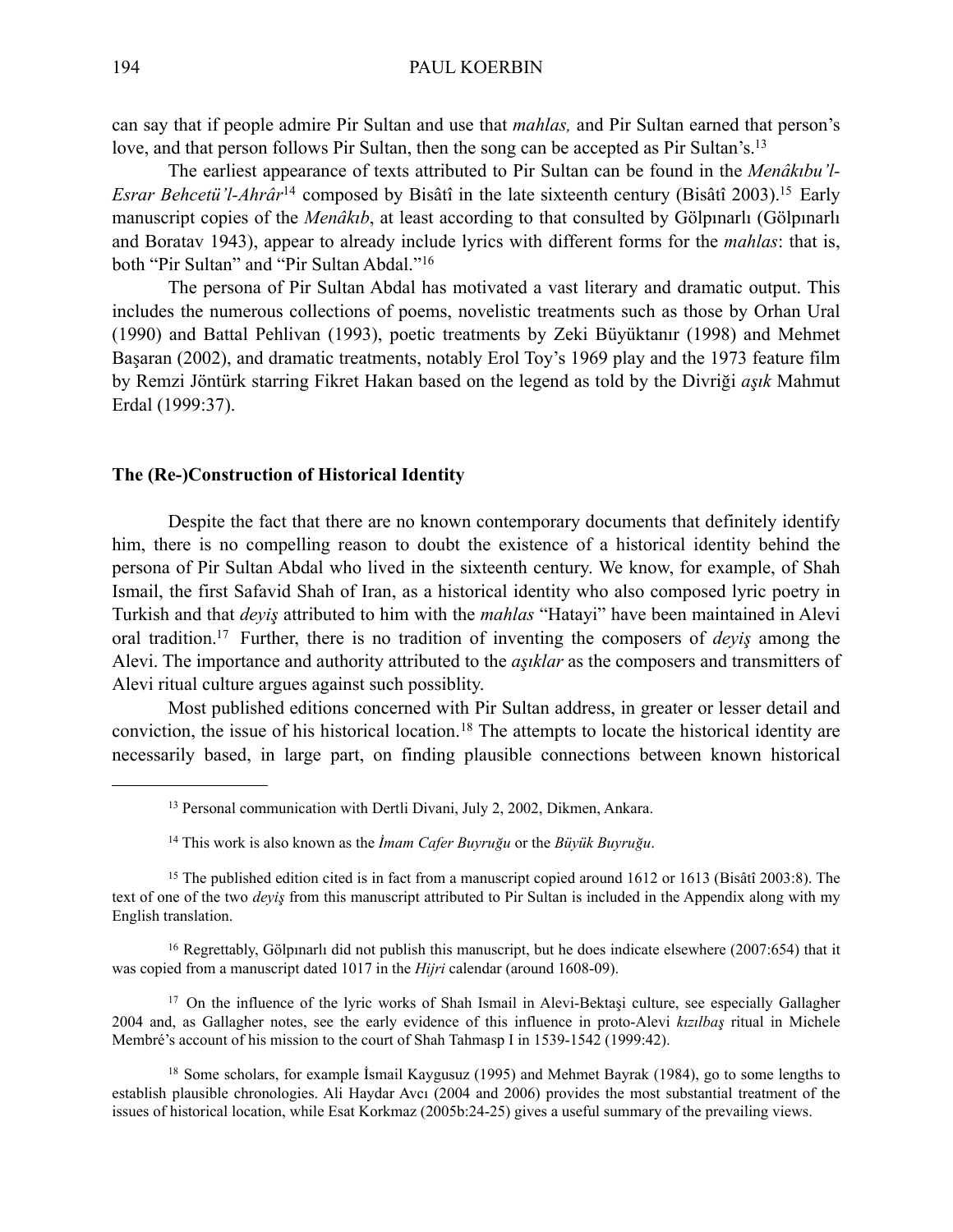can say that if people admire Pir Sultan and use that *mahlas,* and Pir Sultan earned that person's love, and that person follows Pir Sultan, then the song can be accepted as Pir Sultan's[.13](#page-3-0)

The earliest appearance of texts attributed to Pir Sultan can be found in the *Menâkıbu'l-Esrar Behcetü'l-Ahrâr*<sup>[14](#page-3-1)</sup> composed by Bisâtî in the late sixteenth century (Bisâtî 2003).<sup>15</sup> Early manuscript copies of the *Menâkıb*, at least according to that consulted by Gölpınarlı (Gölpınarlı and Boratav 1943), appear to already include lyrics with different forms for the *mahlas*: that is, both "Pir Sultan" and "Pir Sultan Abdal."[16](#page-3-3)

The persona of Pir Sultan Abdal has motivated a vast literary and dramatic output. This includes the numerous collections of poems, novelistic treatments such as those by Orhan Ural (1990) and Battal Pehlivan (1993), poetic treatments by Zeki Büyüktanır (1998) and Mehmet Başaran (2002), and dramatic treatments, notably Erol Toy's 1969 play and the 1973 feature film by Remzi Jöntürk starring Fikret Hakan based on the legend as told by the Divriği *aşık* Mahmut Erdal (1999:37).

#### **The (Re-)Construction of Historical Identity**

Despite the fact that there are no known contemporary documents that definitely identify him, there is no compelling reason to doubt the existence of a historical identity behind the persona of Pir Sultan Abdal who lived in the sixteenth century. We know, for example, of Shah Ismail, the first Safavid Shah of Iran, as a historical identity who also composed lyric poetry in Turkish and that *deyiş* attributed to him with the *mahlas* "Hatayi" have been maintained in Alevi oral tradition[.17](#page-3-4) Further, there is no tradition of inventing the composers of *deyiş* among the Alevi. The importance and authority attributed to the *aşıklar* as the composers and transmitters of Alevi ritual culture argues against such possiblity.

Most published editions concerned with Pir Sultan address, in greater or lesser detail and conviction, the issue of his historical location.[18](#page-3-5) The attempts to locate the historical identity are necessarily based, in large part, on finding plausible connections between known historical

<span id="page-3-3"></span>16 Regrettably, Gölpınarlı did not publish this manuscript, but he does indicate elsewhere (2007:654) that it was copied from a manuscript dated 1017 in the *Hijri* calendar (around 1608-09).

<span id="page-3-4"></span><sup>17</sup> On the influence of the lyric works of Shah Ismail in Alevi-Bektasi culture, see especially Gallagher 2004 and, as Gallagher notes, see the early evidence of this influence in proto-Alevi *kızılbaş* ritual in Michele Membré's account of his mission to the court of Shah Tahmasp I in 1539-1542 (1999:42).

<span id="page-3-5"></span>18 Some scholars, for example İsmail Kaygusuz (1995) and Mehmet Bayrak (1984), go to some lengths to establish plausible chronologies. Ali Haydar Avcı (2004 and 2006) provides the most substantial treatment of the issues of historical location, while Esat Korkmaz (2005b:24-25) gives a useful summary of the prevailing views.

<span id="page-3-0"></span><sup>13</sup> Personal communication with Dertli Divani, July 2, 2002, Dikmen, Ankara.

<span id="page-3-2"></span><span id="page-3-1"></span><sup>14</sup> This work is also known as the *İmam Cafer Buyruğu* or the *Büyük Buyruğu*.

<sup>&</sup>lt;sup>15</sup> The published edition cited is in fact from a manuscript copied around 1612 or 1613 (Bisâtî 2003:8). The text of one of the two *deyiş* from this manuscript attributed to Pir Sultan is included in the Appendix along with my English translation.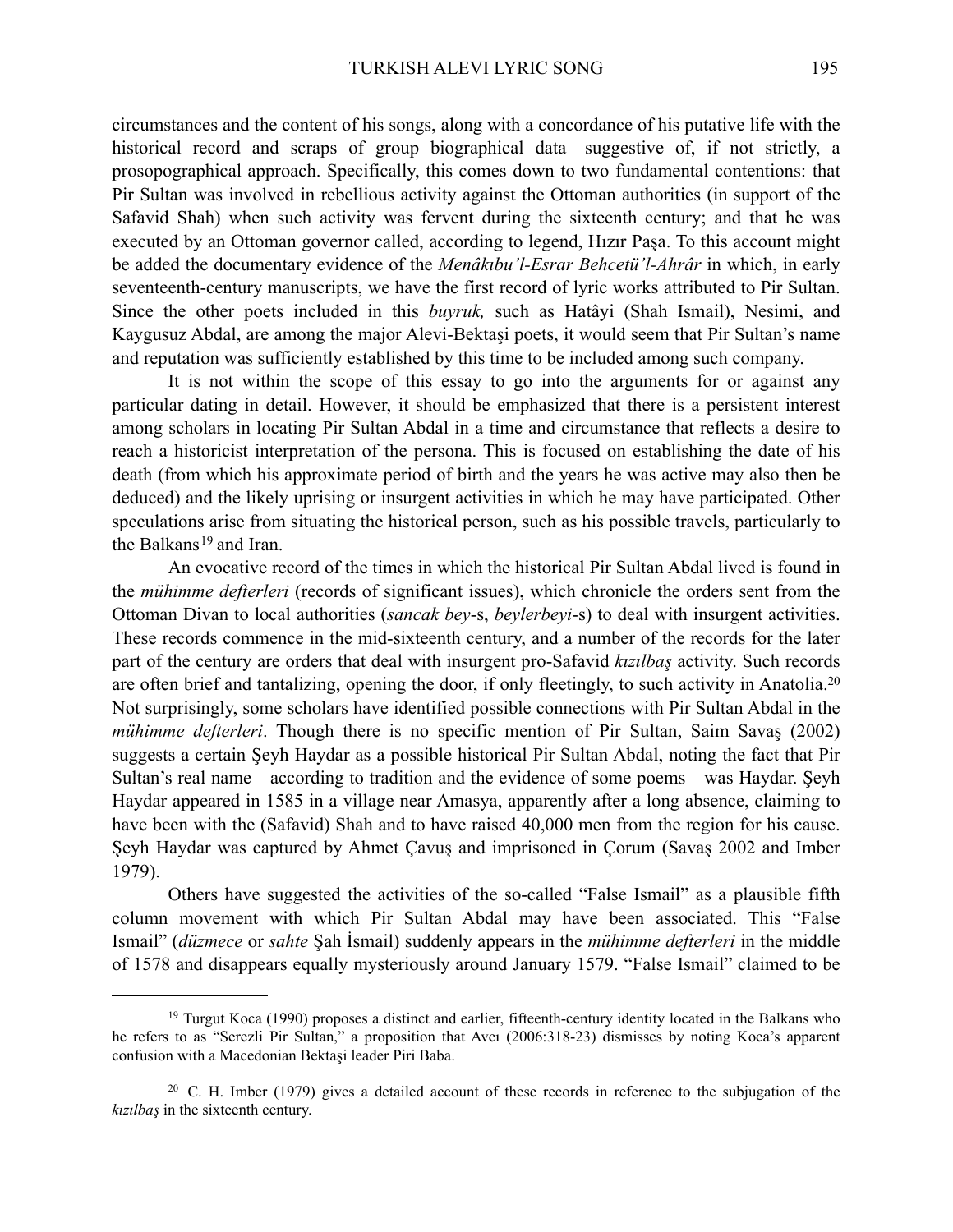circumstances and the content of his songs, along with a concordance of his putative life with the historical record and scraps of group biographical data—suggestive of, if not strictly, a prosopographical approach. Specifically, this comes down to two fundamental contentions: that Pir Sultan was involved in rebellious activity against the Ottoman authorities (in support of the Safavid Shah) when such activity was fervent during the sixteenth century; and that he was executed by an Ottoman governor called, according to legend, Hızır Paşa. To this account might be added the documentary evidence of the *Menâkıbu'l-Esrar Behcetü'l-Ahrâr* in which, in early seventeenth-century manuscripts, we have the first record of lyric works attributed to Pir Sultan. Since the other poets included in this *buyruk,* such as Hatâyi (Shah Ismail), Nesimi, and Kaygusuz Abdal, are among the major Alevi-Bektaşi poets, it would seem that Pir Sultan's name and reputation was sufficiently established by this time to be included among such company.

It is not within the scope of this essay to go into the arguments for or against any particular dating in detail. However, it should be emphasized that there is a persistent interest among scholars in locating Pir Sultan Abdal in a time and circumstance that reflects a desire to reach a historicist interpretation of the persona. This is focused on establishing the date of his death (from which his approximate period of birth and the years he was active may also then be deduced) and the likely uprising or insurgent activities in which he may have participated. Other speculations arise from situating the historical person, such as his possible travels, particularly to the Balkans<sup>[19](#page-4-0)</sup> and Iran.

An evocative record of the times in which the historical Pir Sultan Abdal lived is found in the *mühimme defterleri* (records of significant issues), which chronicle the orders sent from the Ottoman Divan to local authorities (*sancak bey*-s, *beylerbeyi*-s) to deal with insurgent activities. These records commence in the mid-sixteenth century, and a number of the records for the later part of the century are orders that deal with insurgent pro-Safavid *kızılbaş* activity. Such records are often brief and tantalizing, opening the door, if only fleetingly, to such activity in Anatolia[.20](#page-4-1) Not surprisingly, some scholars have identified possible connections with Pir Sultan Abdal in the *mühimme defterleri*. Though there is no specific mention of Pir Sultan, Saim Savaş (2002) suggests a certain Şeyh Haydar as a possible historical Pir Sultan Abdal, noting the fact that Pir Sultan's real name—according to tradition and the evidence of some poems—was Haydar. Şeyh Haydar appeared in 1585 in a village near Amasya, apparently after a long absence, claiming to have been with the (Safavid) Shah and to have raised 40,000 men from the region for his cause. Şeyh Haydar was captured by Ahmet Çavuş and imprisoned in Çorum (Savaş 2002 and Imber 1979).

Others have suggested the activities of the so-called "False Ismail" as a plausible fifth column movement with which Pir Sultan Abdal may have been associated. This "False Ismail" (*düzmece* or *sahte* Şah İsmail) suddenly appears in the *mühimme defterleri* in the middle of 1578 and disappears equally mysteriously around January 1579. "False Ismail" claimed to be

<span id="page-4-0"></span><sup>&</sup>lt;sup>19</sup> Turgut Koca (1990) proposes a distinct and earlier, fifteenth-century identity located in the Balkans who he refers to as "Serezli Pir Sultan," a proposition that Avcı (2006:318-23) dismisses by noting Koca's apparent confusion with a Macedonian Bektaşi leader Piri Baba.

<span id="page-4-1"></span><sup>20</sup> C. H. Imber (1979) gives a detailed account of these records in reference to the subjugation of the *kızılbaş* in the sixteenth century.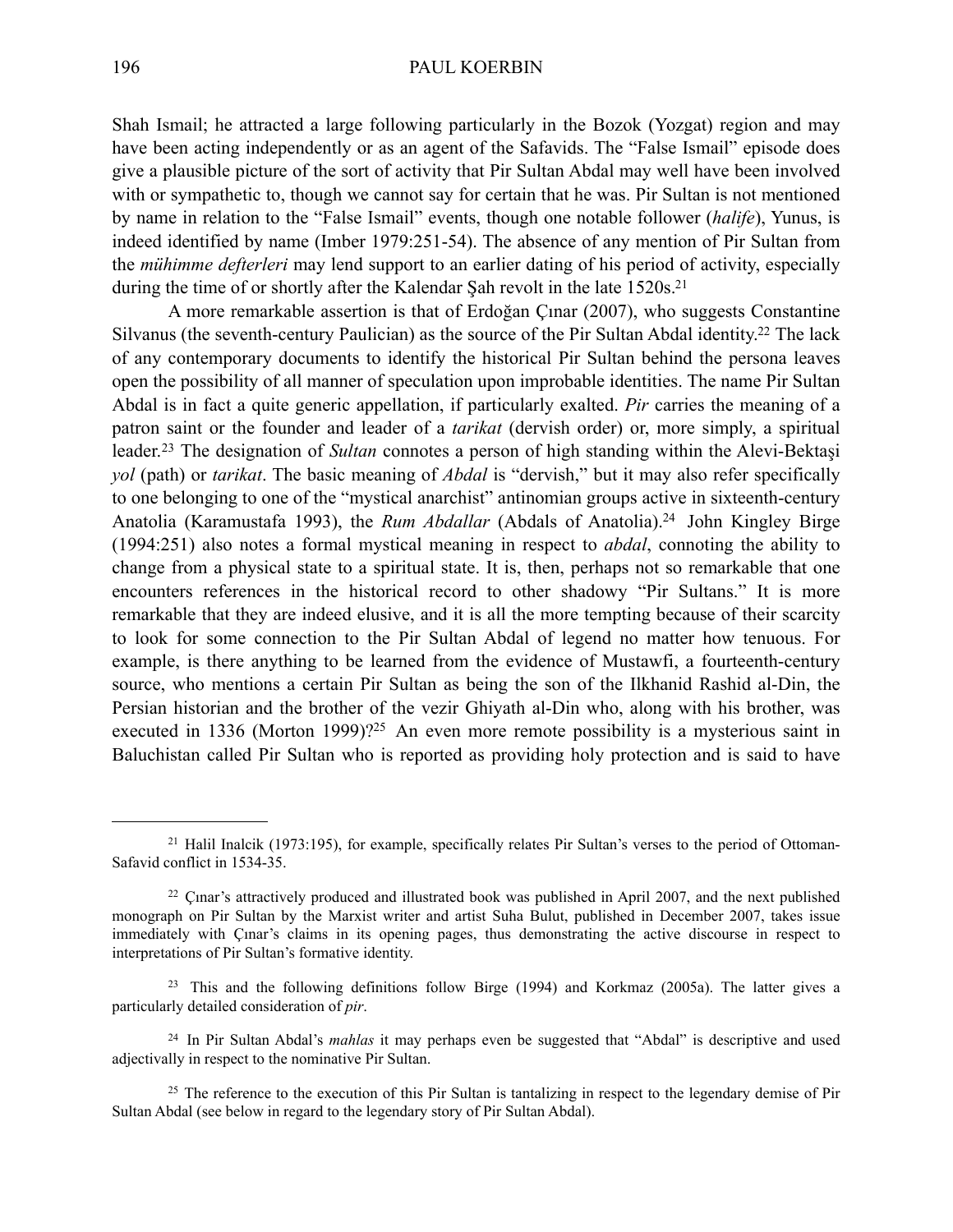Shah Ismail; he attracted a large following particularly in the Bozok (Yozgat) region and may have been acting independently or as an agent of the Safavids. The "False Ismail" episode does give a plausible picture of the sort of activity that Pir Sultan Abdal may well have been involved with or sympathetic to, though we cannot say for certain that he was. Pir Sultan is not mentioned by name in relation to the "False Ismail" events, though one notable follower (*halife*), Yunus, is indeed identified by name (Imber 1979:251-54). The absence of any mention of Pir Sultan from the *mühimme defterleri* may lend support to an earlier dating of his period of activity, especially during the time of or shortly after the Kalendar Sah revolt in the late 1520s.<sup>21</sup>

A more remarkable assertion is that of Erdoğan Çınar (2007), who suggests Constantine Silvanus (the seventh-century Paulician) as the source of the Pir Sultan Abdal identity.<sup>22</sup> The lack of any contemporary documents to identify the historical Pir Sultan behind the persona leaves open the possibility of all manner of speculation upon improbable identities. The name Pir Sultan Abdal is in fact a quite generic appellation, if particularly exalted. *Pir* carries the meaning of a patron saint or the founder and leader of a *tarikat* (dervish order) or, more simply, a spiritual leader.[23](#page-5-2) The designation of *Sultan* connotes a person of high standing within the Alevi-Bektaşi *yol* (path) or *tarikat*. The basic meaning of *Abdal* is "dervish," but it may also refer specifically to one belonging to one of the "mystical anarchist" antinomian groups active in sixteenth-century Anatolia (Karamustafa 1993), the *Rum Abdallar* (Abdals of Anatolia).<sup>24</sup> John Kingley Birge (1994:251) also notes a formal mystical meaning in respect to *abdal*, connoting the ability to change from a physical state to a spiritual state. It is, then, perhaps not so remarkable that one encounters references in the historical record to other shadowy "Pir Sultans." It is more remarkable that they are indeed elusive, and it is all the more tempting because of their scarcity to look for some connection to the Pir Sultan Abdal of legend no matter how tenuous. For example, is there anything to be learned from the evidence of Mustawfi, a fourteenth-century source, who mentions a certain Pir Sultan as being the son of the Ilkhanid Rashid al-Din, the Persian historian and the brother of the vezir Ghiyath al-Din who, along with his brother, was executed in 1336 (Morton 1999)?<sup>25</sup> An even more remote possibility is a mysterious saint in Baluchistan called Pir Sultan who is reported as providing holy protection and is said to have

<span id="page-5-0"></span><sup>21</sup> Halil Inalcik (1973:195), for example, specifically relates Pir Sultan's verses to the period of Ottoman-Safavid conflict in 1534-35.

<span id="page-5-1"></span><sup>&</sup>lt;sup>22</sup> Cinar's attractively produced and illustrated book was published in April 2007, and the next published monograph on Pir Sultan by the Marxist writer and artist Suha Bulut, published in December 2007, takes issue immediately with Çınar's claims in its opening pages, thus demonstrating the active discourse in respect to interpretations of Pir Sultan's formative identity.

<span id="page-5-2"></span><sup>&</sup>lt;sup>23</sup> This and the following definitions follow Birge (1994) and Korkmaz (2005a). The latter gives a particularly detailed consideration of *pir*.

<span id="page-5-3"></span><sup>24</sup> In Pir Sultan Abdal's *mahlas* it may perhaps even be suggested that "Abdal" is descriptive and used adjectivally in respect to the nominative Pir Sultan.

<span id="page-5-4"></span><sup>&</sup>lt;sup>25</sup> The reference to the execution of this Pir Sultan is tantalizing in respect to the legendary demise of Pir Sultan Abdal (see below in regard to the legendary story of Pir Sultan Abdal).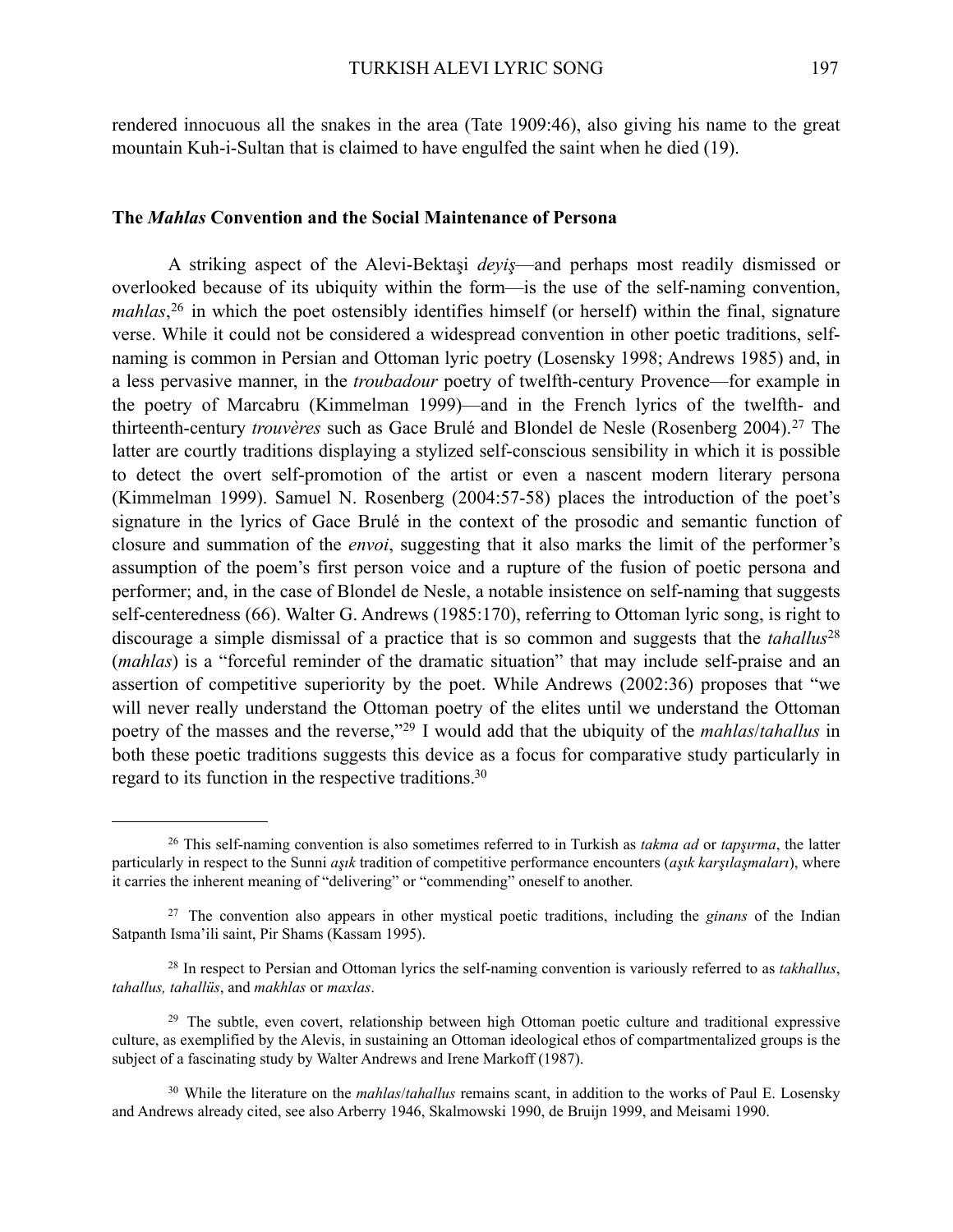rendered innocuous all the snakes in the area (Tate 1909:46), also giving his name to the great mountain Kuh-i-Sultan that is claimed to have engulfed the saint when he died (19).

#### **The** *Mahlas* **Convention and the Social Maintenance of Persona**

A striking aspect of the Alevi-Bektaşi *deyiş*—and perhaps most readily dismissed or overlooked because of its ubiquity within the form—is the use of the self-naming convention, mahlas,<sup>[26](#page-6-0)</sup> in which the poet ostensibly identifies himself (or herself) within the final, signature verse. While it could not be considered a widespread convention in other poetic traditions, selfnaming is common in Persian and Ottoman lyric poetry (Losensky 1998; Andrews 1985) and, in a less pervasive manner, in the *troubadour* poetry of twelfth-century Provence—for example in the poetry of Marcabru (Kimmelman 1999)—and in the French lyrics of the twelfth- and thirteenth-century *trouvères* such as Gace Brulé and Blondel de Nesle (Rosenberg 2004).<sup>[27](#page-6-1)</sup> The latter are courtly traditions displaying a stylized self-conscious sensibility in which it is possible to detect the overt self-promotion of the artist or even a nascent modern literary persona (Kimmelman 1999). Samuel N. Rosenberg (2004:57-58) places the introduction of the poet's signature in the lyrics of Gace Brulé in the context of the prosodic and semantic function of closure and summation of the *envoi*, suggesting that it also marks the limit of the performer's assumption of the poem's first person voice and a rupture of the fusion of poetic persona and performer; and, in the case of Blondel de Nesle, a notable insistence on self-naming that suggests self-centeredness (66). Walter G. Andrews (1985:170), referring to Ottoman lyric song, is right to discourage a simple dismissal of a practice that is so common and suggests that the *tahallus*[28](#page-6-2) (*mahlas*) is a "forceful reminder of the dramatic situation" that may include self-praise and an assertion of competitive superiority by the poet. While Andrews (2002:36) proposes that "we will never really understand the Ottoman poetry of the elites until we understand the Ottoman poetry of the masses and the reverse,"[29](#page-6-3) I would add that the ubiquity of the *mahlas*/*tahallus* in both these poetic traditions suggests this device as a focus for comparative study particularly in regard to its function in the respective traditions[.30](#page-6-4)

<span id="page-6-0"></span><sup>26</sup> This self-naming convention is also sometimes referred to in Turkish as *takma ad* or *tapşırma*, the latter particularly in respect to the Sunni *aşık* tradition of competitive performance encounters (*aşık karşılaşmaları*), where it carries the inherent meaning of "delivering" or "commending" oneself to another.

<span id="page-6-1"></span><sup>27</sup> The convention also appears in other mystical poetic traditions, including the *ginans* of the Indian Satpanth Isma'ili saint, Pir Shams (Kassam 1995).

<span id="page-6-2"></span><sup>28</sup> In respect to Persian and Ottoman lyrics the self-naming convention is variously referred to as *takhallus*, *tahallus, tahallüs*, and *makhlas* or *maxlas*.

<span id="page-6-3"></span><sup>&</sup>lt;sup>29</sup> The subtle, even covert, relationship between high Ottoman poetic culture and traditional expressive culture, as exemplified by the Alevis, in sustaining an Ottoman ideological ethos of compartmentalized groups is the subject of a fascinating study by Walter Andrews and Irene Markoff (1987).

<span id="page-6-4"></span><sup>30</sup> While the literature on the *mahlas*/*tahallus* remains scant, in addition to the works of Paul E. Losensky and Andrews already cited, see also Arberry 1946, Skalmowski 1990, de Bruijn 1999, and Meisami 1990.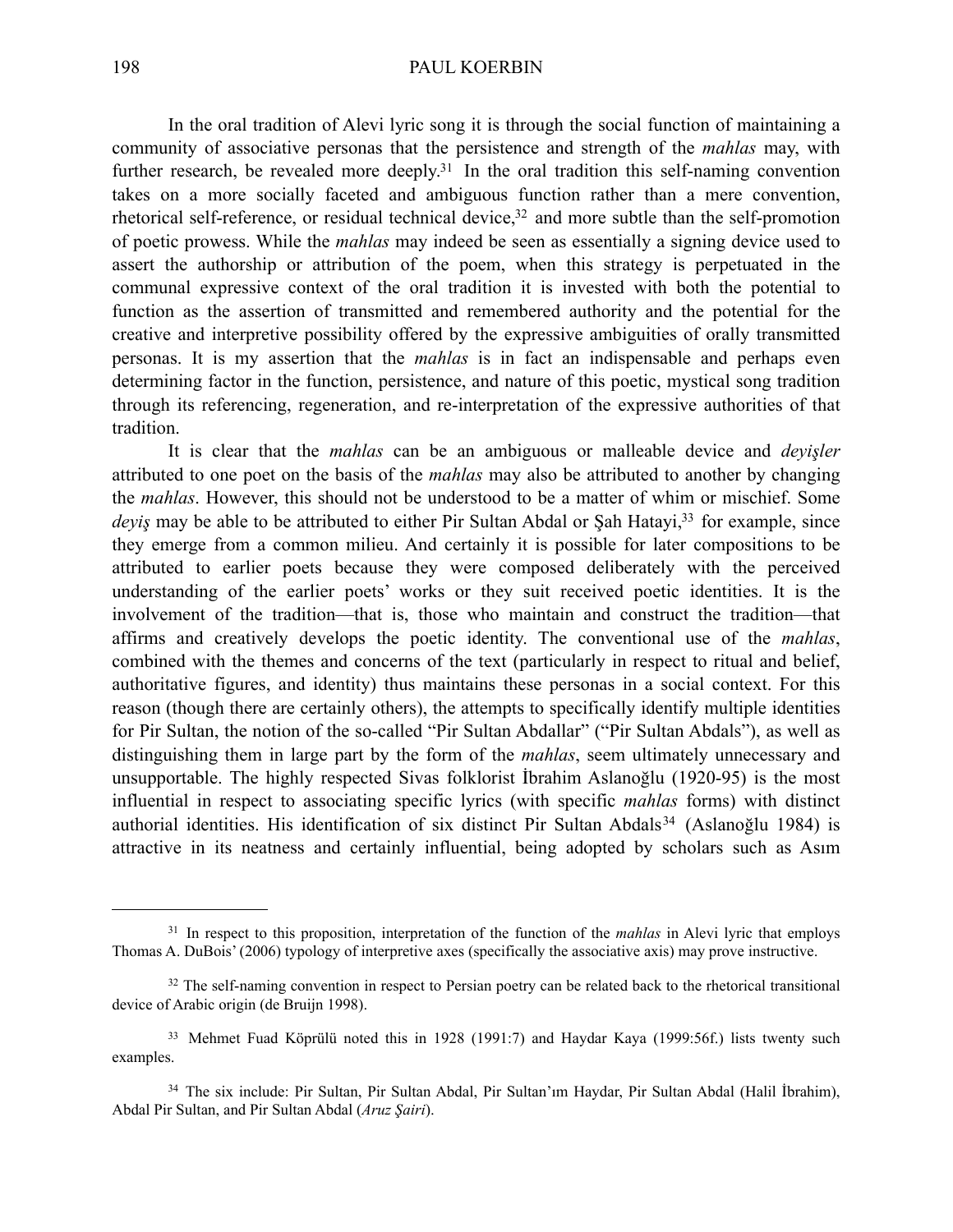In the oral tradition of Alevi lyric song it is through the social function of maintaining a community of associative personas that the persistence and strength of the *mahlas* may, with further research, be revealed more deeply.<sup>31</sup> In the oral tradition this self-naming convention takes on a more socially faceted and ambiguous function rather than a mere convention, rhetorical self-reference, or residual technical device,<sup>32</sup> and more subtle than the self-promotion of poetic prowess. While the *mahlas* may indeed be seen as essentially a signing device used to assert the authorship or attribution of the poem, when this strategy is perpetuated in the communal expressive context of the oral tradition it is invested with both the potential to function as the assertion of transmitted and remembered authority and the potential for the creative and interpretive possibility offered by the expressive ambiguities of orally transmitted personas. It is my assertion that the *mahlas* is in fact an indispensable and perhaps even determining factor in the function, persistence, and nature of this poetic, mystical song tradition through its referencing, regeneration, and re-interpretation of the expressive authorities of that tradition.

It is clear that the *mahlas* can be an ambiguous or malleable device and *deyişler* attributed to one poet on the basis of the *mahlas* may also be attributed to another by changing the *mahlas*. However, this should not be understood to be a matter of whim or mischief. Some *deyis* may be able to be attributed to either Pir Sultan Abdal or Sah Hatayi,<sup>33</sup> for example, since they emerge from a common milieu. And certainly it is possible for later compositions to be attributed to earlier poets because they were composed deliberately with the perceived understanding of the earlier poets' works or they suit received poetic identities. It is the involvement of the tradition—that is, those who maintain and construct the tradition—that affirms and creatively develops the poetic identity. The conventional use of the *mahlas*, combined with the themes and concerns of the text (particularly in respect to ritual and belief, authoritative figures, and identity) thus maintains these personas in a social context. For this reason (though there are certainly others), the attempts to specifically identify multiple identities for Pir Sultan, the notion of the so-called "Pir Sultan Abdallar" ("Pir Sultan Abdals"), as well as distinguishing them in large part by the form of the *mahlas*, seem ultimately unnecessary and unsupportable. The highly respected Sivas folklorist İbrahim Aslanoğlu (1920-95) is the most influential in respect to associating specific lyrics (with specific *mahlas* forms) with distinct authorial identities. His identification of six distinct Pir Sultan Abdals<sup>[34](#page-7-3)</sup> (Aslanoğlu 1984) is attractive in its neatness and certainly influential, being adopted by scholars such as Asım

<span id="page-7-0"></span><sup>31</sup> In respect to this proposition, interpretation of the function of the *mahlas* in Alevi lyric that employs Thomas A. DuBois' (2006) typology of interpretive axes (specifically the associative axis) may prove instructive.

<span id="page-7-1"></span> $32$  The self-naming convention in respect to Persian poetry can be related back to the rhetorical transitional device of Arabic origin (de Bruijn 1998).

<span id="page-7-2"></span><sup>&</sup>lt;sup>33</sup> Mehmet Fuad Köprülü noted this in 1928 (1991:7) and Haydar Kaya (1999:56f.) lists twenty such examples.

<span id="page-7-3"></span><sup>34</sup> The six include: Pir Sultan, Pir Sultan Abdal, Pir Sultan'ım Haydar, Pir Sultan Abdal (Halil İbrahim), Abdal Pir Sultan, and Pir Sultan Abdal (*Aruz Şairi*).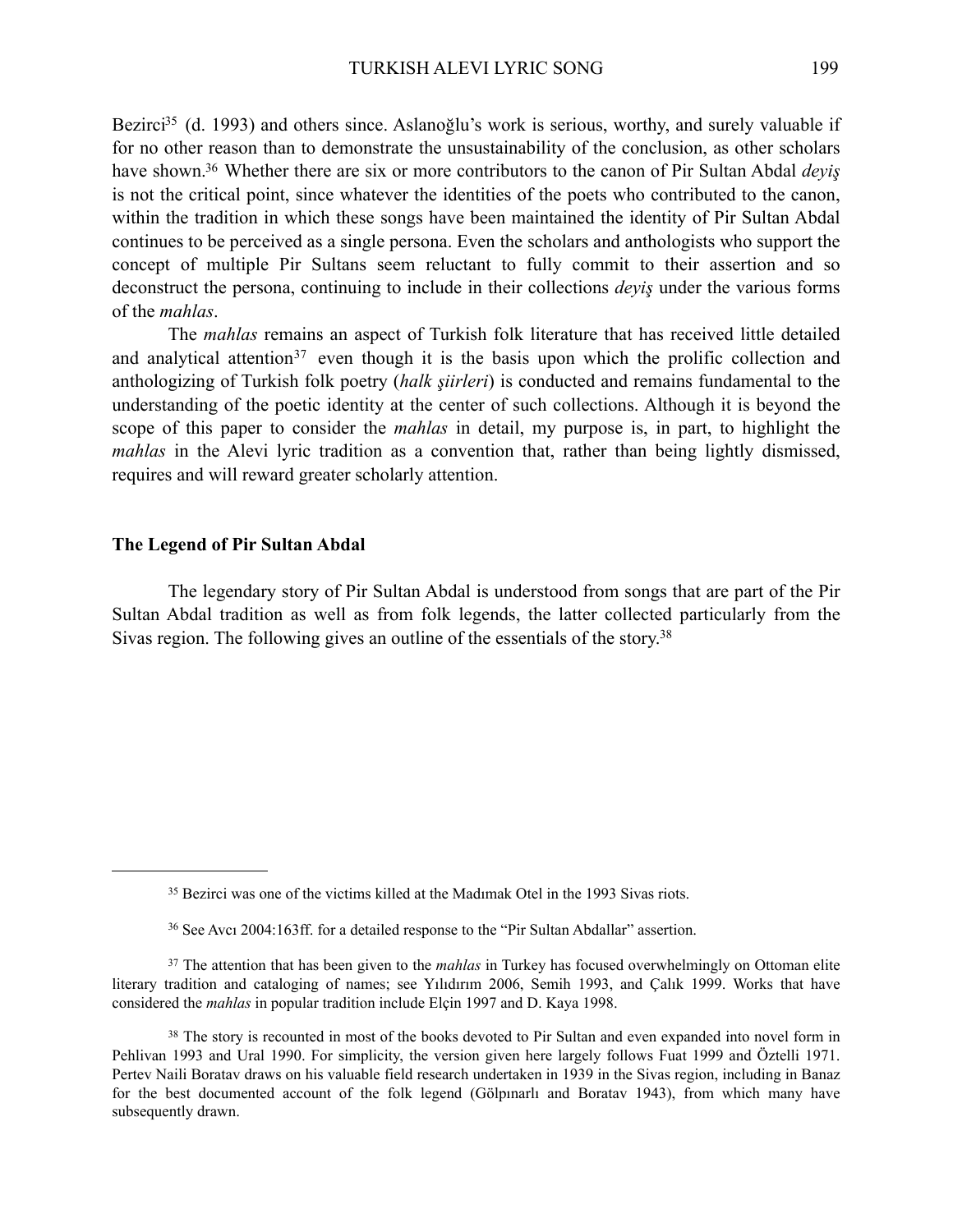Bezirci<sup>35</sup> (d. 1993) and others since. Aslanoğlu's work is serious, worthy, and surely valuable if for no other reason than to demonstrate the unsustainability of the conclusion, as other scholars have shown[.36](#page-8-1) Whether there are six or more contributors to the canon of Pir Sultan Abdal *deyiş* is not the critical point, since whatever the identities of the poets who contributed to the canon, within the tradition in which these songs have been maintained the identity of Pir Sultan Abdal continues to be perceived as a single persona. Even the scholars and anthologists who support the concept of multiple Pir Sultans seem reluctant to fully commit to their assertion and so deconstruct the persona, continuing to include in their collections *deyiş* under the various forms of the *mahlas*.

The *mahlas* remains an aspect of Turkish folk literature that has received little detailed and analytical attention<sup>[37](#page-8-2)</sup> even though it is the basis upon which the prolific collection and anthologizing of Turkish folk poetry (*halk şiirleri*) is conducted and remains fundamental to the understanding of the poetic identity at the center of such collections. Although it is beyond the scope of this paper to consider the *mahlas* in detail, my purpose is, in part, to highlight the *mahlas* in the Alevi lyric tradition as a convention that, rather than being lightly dismissed, requires and will reward greater scholarly attention.

#### **The Legend of Pir Sultan Abdal**

The legendary story of Pir Sultan Abdal is understood from songs that are part of the Pir Sultan Abdal tradition as well as from folk legends, the latter collected particularly from the Sivas region. The following gives an outline of the essentials of the story[.38](#page-8-3)

<span id="page-8-0"></span><sup>35</sup> Bezirci was one of the victims killed at the Madımak Otel in the 1993 Sivas riots.

<span id="page-8-2"></span><span id="page-8-1"></span><sup>36</sup> See Avcı 2004:163ff. for a detailed response to the "Pir Sultan Abdallar" assertion.

<sup>37</sup> The attention that has been given to the *mahlas* in Turkey has focused overwhelmingly on Ottoman elite literary tradition and cataloging of names; see Yılıdırım 2006, Semih 1993, and Çalık 1999. Works that have considered the *mahlas* in popular tradition include Elçin 1997 and D. Kaya 1998.

<span id="page-8-3"></span><sup>&</sup>lt;sup>38</sup> The story is recounted in most of the books devoted to Pir Sultan and even expanded into novel form in Pehlivan 1993 and Ural 1990. For simplicity, the version given here largely follows Fuat 1999 and Öztelli 1971. Pertev Naili Boratav draws on his valuable field research undertaken in 1939 in the Sivas region, including in Banaz for the best documented account of the folk legend (Gölpınarlı and Boratav 1943), from which many have subsequently drawn.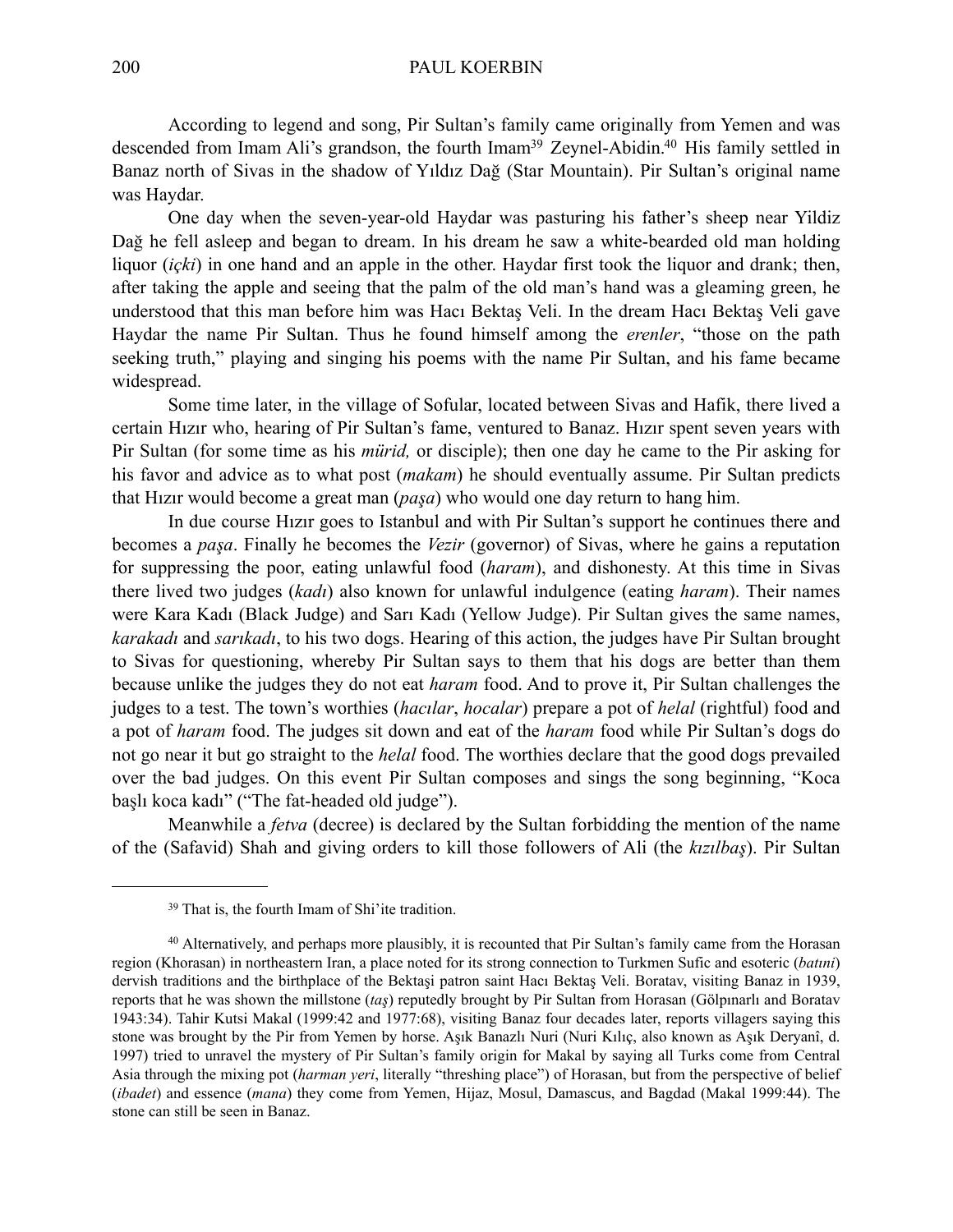According to legend and song, Pir Sultan's family came originally from Yemen and was descended from Imam Ali's grandson, the fourth Imam<sup>39</sup> Zeynel-Abidin.<sup>40</sup> His family settled in Banaz north of Sivas in the shadow of Yıldız Dağ (Star Mountain). Pir Sultan's original name was Haydar.

One day when the seven-year-old Haydar was pasturing his father's sheep near Yildiz Dağ he fell asleep and began to dream. In his dream he saw a white-bearded old man holding liquor *(içki)* in one hand and an apple in the other. Haydar first took the liquor and drank; then, after taking the apple and seeing that the palm of the old man's hand was a gleaming green, he understood that this man before him was Hacı Bektaş Veli. In the dream Hacı Bektaş Veli gave Haydar the name Pir Sultan. Thus he found himself among the *erenler*, "those on the path seeking truth," playing and singing his poems with the name Pir Sultan, and his fame became widespread.

Some time later, in the village of Sofular, located between Sivas and Hafik, there lived a certain Hızır who, hearing of Pir Sultan's fame, ventured to Banaz. Hızır spent seven years with Pir Sultan (for some time as his *mürid,* or disciple); then one day he came to the Pir asking for his favor and advice as to what post (*makam*) he should eventually assume. Pir Sultan predicts that Hızır would become a great man (*paşa*) who would one day return to hang him.

In due course Hızır goes to Istanbul and with Pir Sultan's support he continues there and becomes a *paşa*. Finally he becomes the *Vezir* (governor) of Sivas, where he gains a reputation for suppressing the poor, eating unlawful food (*haram*), and dishonesty. At this time in Sivas there lived two judges (*kadı*) also known for unlawful indulgence (eating *haram*). Their names were Kara Kadı (Black Judge) and Sarı Kadı (Yellow Judge). Pir Sultan gives the same names, *karakadı* and *sarıkadı*, to his two dogs. Hearing of this action, the judges have Pir Sultan brought to Sivas for questioning, whereby Pir Sultan says to them that his dogs are better than them because unlike the judges they do not eat *haram* food. And to prove it, Pir Sultan challenges the judges to a test. The town's worthies (*hacılar*, *hocalar*) prepare a pot of *helal* (rightful) food and a pot of *haram* food. The judges sit down and eat of the *haram* food while Pir Sultan's dogs do not go near it but go straight to the *helal* food. The worthies declare that the good dogs prevailed over the bad judges. On this event Pir Sultan composes and sings the song beginning, "Koca başlı koca kadı" ("The fat-headed old judge").

Meanwhile a *fetva* (decree) is declared by the Sultan forbidding the mention of the name of the (Safavid) Shah and giving orders to kill those followers of Ali (the *kızılbaş*). Pir Sultan

<span id="page-9-1"></span><span id="page-9-0"></span><sup>39</sup> That is, the fourth Imam of Shi'ite tradition.

<sup>40</sup> Alternatively, and perhaps more plausibly, it is recounted that Pir Sultan's family came from the Horasan region (Khorasan) in northeastern Iran, a place noted for its strong connection to Turkmen Sufic and esoteric (*batıni*) dervish traditions and the birthplace of the Bektaşi patron saint Hacı Bektaş Veli. Boratav, visiting Banaz in 1939, reports that he was shown the millstone (*taş*) reputedly brought by Pir Sultan from Horasan (Gölpınarlı and Boratav 1943:34). Tahir Kutsi Makal (1999:42 and 1977:68), visiting Banaz four decades later, reports villagers saying this stone was brought by the Pir from Yemen by horse. Aşık Banazlı Nuri (Nuri Kılıç, also known as Aşık Deryanî, d. 1997) tried to unravel the mystery of Pir Sultan's family origin for Makal by saying all Turks come from Central Asia through the mixing pot (*harman yeri*, literally "threshing place") of Horasan, but from the perspective of belief (*ibadet*) and essence (*mana*) they come from Yemen, Hijaz, Mosul, Damascus, and Bagdad (Makal 1999:44). The stone can still be seen in Banaz.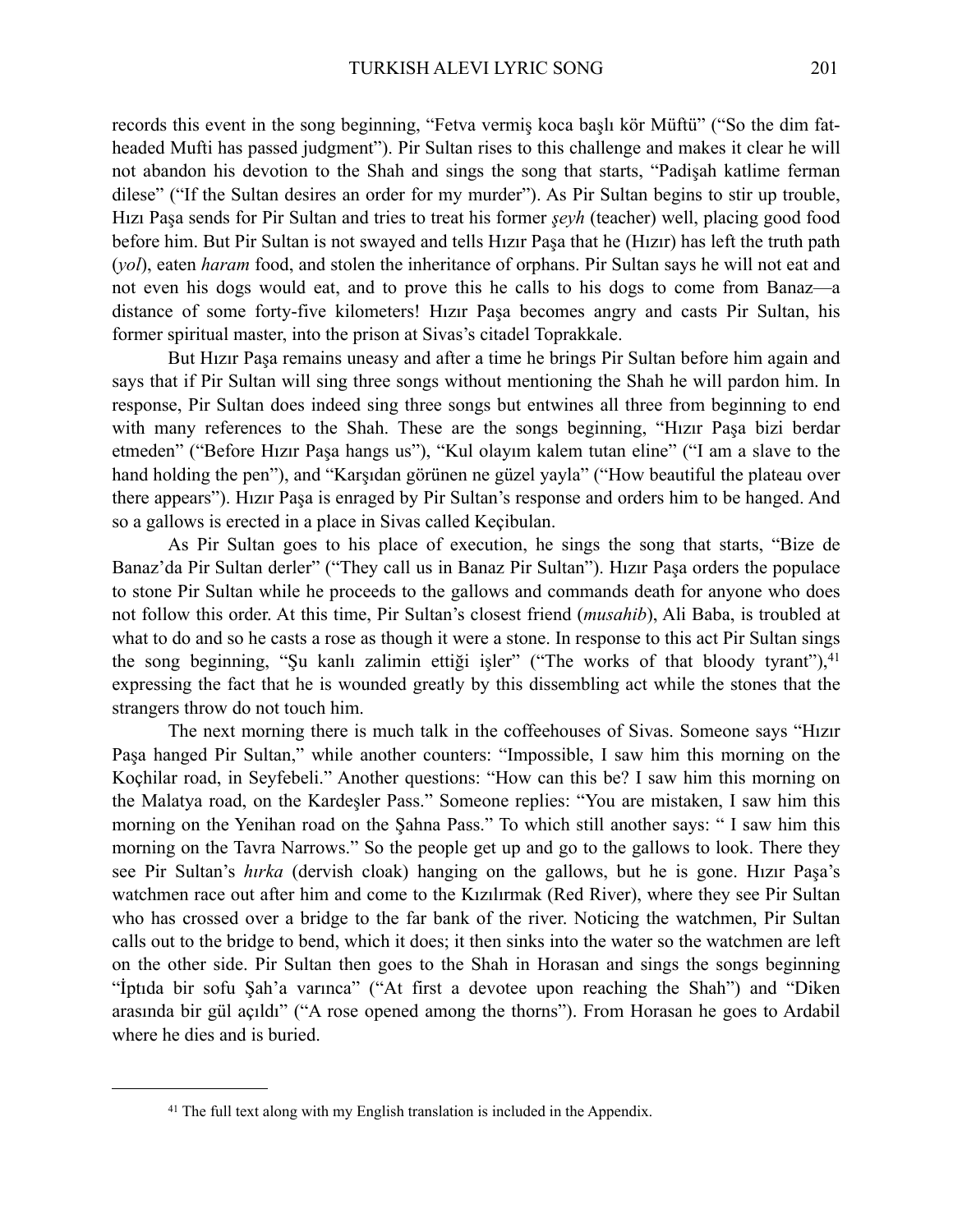records this event in the song beginning, "Fetva vermiş koca başlı kör Müftü" ("So the dim fatheaded Mufti has passed judgment"). Pir Sultan rises to this challenge and makes it clear he will not abandon his devotion to the Shah and sings the song that starts, "Padişah katlime ferman dilese" ("If the Sultan desires an order for my murder"). As Pir Sultan begins to stir up trouble, Hızı Paşa sends for Pir Sultan and tries to treat his former *şeyh* (teacher) well, placing good food before him. But Pir Sultan is not swayed and tells Hızır Paşa that he (Hızır) has left the truth path (*yol*), eaten *haram* food, and stolen the inheritance of orphans. Pir Sultan says he will not eat and not even his dogs would eat, and to prove this he calls to his dogs to come from Banaz—a distance of some forty-five kilometers! Hızır Paşa becomes angry and casts Pir Sultan, his former spiritual master, into the prison at Sivas's citadel Toprakkale.

But Hızır Paşa remains uneasy and after a time he brings Pir Sultan before him again and says that if Pir Sultan will sing three songs without mentioning the Shah he will pardon him. In response, Pir Sultan does indeed sing three songs but entwines all three from beginning to end with many references to the Shah. These are the songs beginning, "Hızır Paşa bizi berdar etmeden" ("Before Hızır Paşa hangs us"), "Kul olayım kalem tutan eline" ("I am a slave to the hand holding the pen"), and "Karşıdan görünen ne güzel yayla" ("How beautiful the plateau over there appears"). Hızır Paşa is enraged by Pir Sultan's response and orders him to be hanged. And so a gallows is erected in a place in Sivas called Keçibulan.

As Pir Sultan goes to his place of execution, he sings the song that starts, "Bize de Banaz'da Pir Sultan derler" ("They call us in Banaz Pir Sultan"). Hızır Paşa orders the populace to stone Pir Sultan while he proceeds to the gallows and commands death for anyone who does not follow this order. At this time, Pir Sultan's closest friend (*musahib*), Ali Baba, is troubled at what to do and so he casts a rose as though it were a stone. In response to this act Pir Sultan sings the song beginning, "Su kanlı zalimin ettiği işler" ("The works of that bloody tyrant"),  $41$ expressing the fact that he is wounded greatly by this dissembling act while the stones that the strangers throw do not touch him.

The next morning there is much talk in the coffeehouses of Sivas. Someone says "Hızır Paşa hanged Pir Sultan," while another counters: "Impossible, I saw him this morning on the Koçhilar road, in Seyfebeli." Another questions: "How can this be? I saw him this morning on the Malatya road, on the Kardeşler Pass." Someone replies: "You are mistaken, I saw him this morning on the Yenihan road on the Şahna Pass." To which still another says: " I saw him this morning on the Tavra Narrows." So the people get up and go to the gallows to look. There they see Pir Sultan's *hırka* (dervish cloak) hanging on the gallows, but he is gone. Hızır Paşa's watchmen race out after him and come to the Kızılırmak (Red River), where they see Pir Sultan who has crossed over a bridge to the far bank of the river. Noticing the watchmen, Pir Sultan calls out to the bridge to bend, which it does; it then sinks into the water so the watchmen are left on the other side. Pir Sultan then goes to the Shah in Horasan and sings the songs beginning "İptıda bir sofu Şah'a varınca" ("At first a devotee upon reaching the Shah") and "Diken arasında bir gül açıldı" ("A rose opened among the thorns"). From Horasan he goes to Ardabil where he dies and is buried.

<span id="page-10-0"></span><sup>&</sup>lt;sup>41</sup> The full text along with my English translation is included in the Appendix.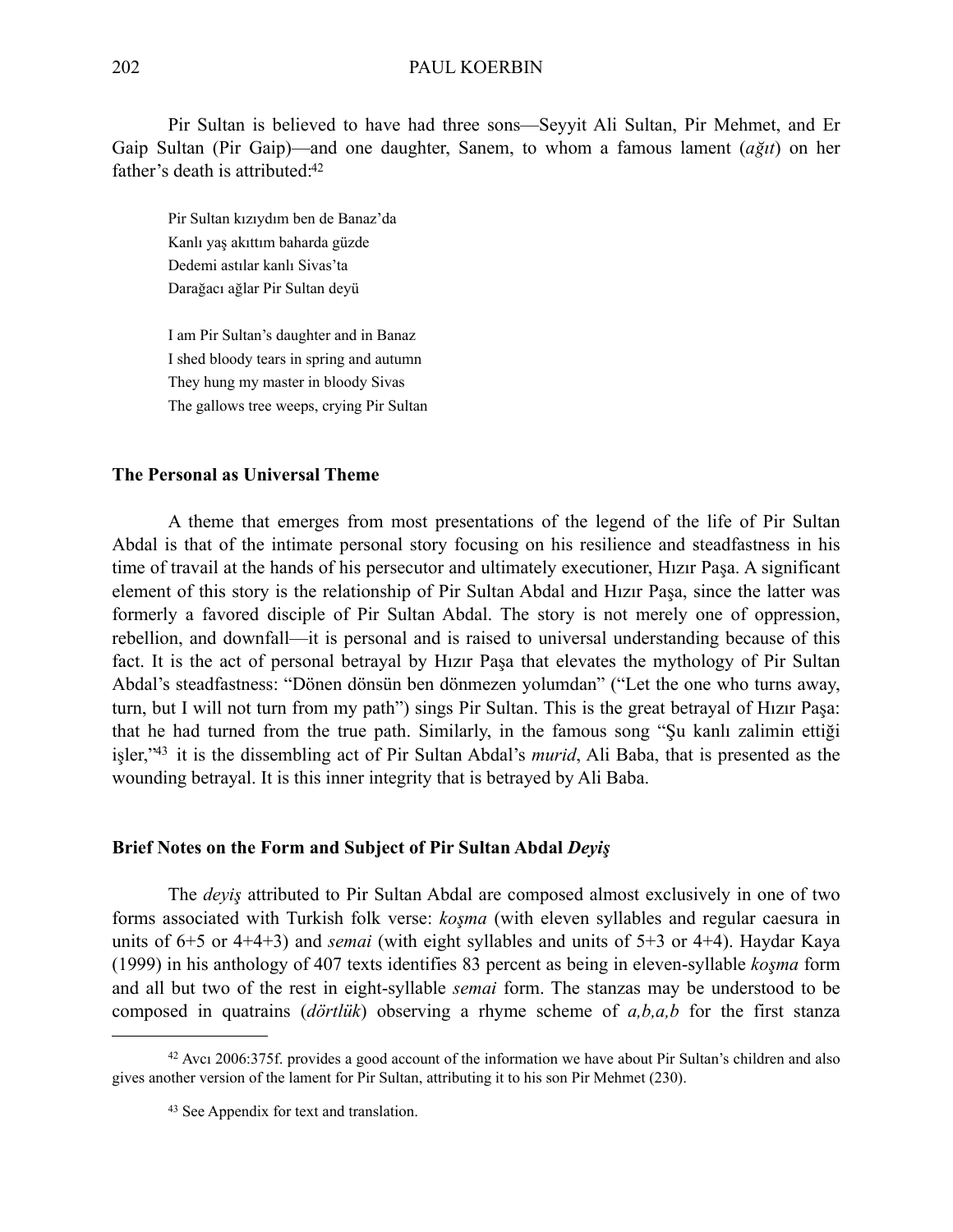Pir Sultan is believed to have had three sons—Seyyit Ali Sultan, Pir Mehmet, and Er Gaip Sultan (Pir Gaip)—and one daughter, Sanem, to whom a famous lament (*ağıt*) on her father's death is attributed:<sup>42</sup>

Pir Sultan kızıydım ben de Banaz'da Kanlı yaş akıttım baharda güzde Dedemi astılar kanlı Sivas'ta Darağacı ağlar Pir Sultan deyü

I am Pir Sultan's daughter and in Banaz I shed bloody tears in spring and autumn They hung my master in bloody Sivas The gallows tree weeps, crying Pir Sultan

### **The Personal as Universal Theme**

A theme that emerges from most presentations of the legend of the life of Pir Sultan Abdal is that of the intimate personal story focusing on his resilience and steadfastness in his time of travail at the hands of his persecutor and ultimately executioner, Hızır Paşa. A significant element of this story is the relationship of Pir Sultan Abdal and Hızır Paşa, since the latter was formerly a favored disciple of Pir Sultan Abdal. The story is not merely one of oppression, rebellion, and downfall—it is personal and is raised to universal understanding because of this fact. It is the act of personal betrayal by Hızır Paşa that elevates the mythology of Pir Sultan Abdal's steadfastness: "Dönen dönsün ben dönmezen yolumdan" ("Let the one who turns away, turn, but I will not turn from my path") sings Pir Sultan. This is the great betrayal of Hızır Paşa: that he had turned from the true path. Similarly, in the famous song "Şu kanlı zalimin ettiği işler,["43](#page-11-1) it is the dissembling act of Pir Sultan Abdal's *murid*, Ali Baba, that is presented as the wounding betrayal. It is this inner integrity that is betrayed by Ali Baba.

#### **Brief Notes on the Form and Subject of Pir Sultan Abdal** *Deyiş*

The *deyiş* attributed to Pir Sultan Abdal are composed almost exclusively in one of two forms associated with Turkish folk verse: *koşma* (with eleven syllables and regular caesura in units of 6+5 or 4+4+3) and *semai* (with eight syllables and units of 5+3 or 4+4). Haydar Kaya (1999) in his anthology of 407 texts identifies 83 percent as being in eleven-syllable *koşma* form and all but two of the rest in eight-syllable *semai* form. The stanzas may be understood to be composed in quatrains (*dörtlük*) observing a rhyme scheme of *a,b,a,b* for the first stanza

<sup>42</sup> Avcı 2006:375f. provides a good account of the information we have about Pir Sultan's children and also gives another version of the lament for Pir Sultan, attributing it to his son Pir Mehmet (230).

<span id="page-11-1"></span><span id="page-11-0"></span><sup>43</sup> See Appendix for text and translation.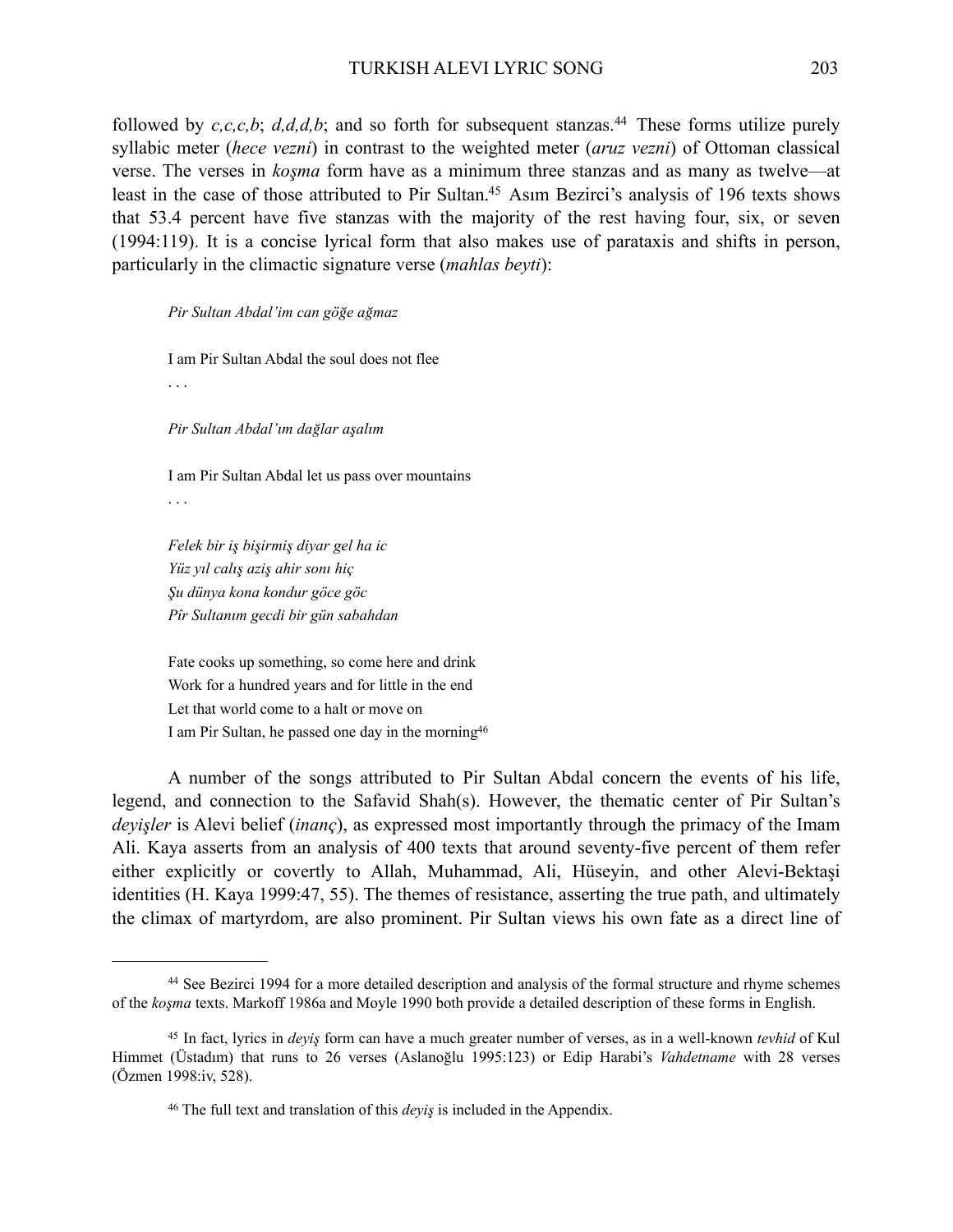followed by  $c, c, c, b$ ;  $d, d, d, b$ ; and so forth for subsequent stanzas.<sup>[44](#page-12-0)</sup> These forms utilize purely syllabic meter (*hece vezni*) in contrast to the weighted meter (*aruz vezni*) of Ottoman classical verse. The verses in *koşma* form have as a minimum three stanzas and as many as twelve—at least in the case of those attributed to Pir Sultan[.45](#page-12-1) Asım Bezirci's analysis of 196 texts shows that 53.4 percent have five stanzas with the majority of the rest having four, six, or seven (1994:119). It is a concise lyrical form that also makes use of parataxis and shifts in person, particularly in the climactic signature verse (*mahlas beyti*):

*Pir Sultan Abdal'im can göğe ağmaz*

I am Pir Sultan Abdal the soul does not flee

. . .

*Pir Sultan Abdal'ım dağlar aşalım*

I am Pir Sultan Abdal let us pass over mountains . . .

*Felek bir iş bişirmiş diyar gel ha ic Yüz yıl calış aziş ahir sonı hiç Şu dünya kona kondur göce göc Pîr Sultanım gecdi bir gün sabahdan*

Fate cooks up something, so come here and drink Work for a hundred years and for little in the end Let that world come to a halt or move on I am Pir Sultan, he passed one day in the mornin[g46](#page-12-2)

A number of the songs attributed to Pir Sultan Abdal concern the events of his life, legend, and connection to the Safavid Shah(s). However, the thematic center of Pir Sultan's *deyişler* is Alevi belief (*inanç*), as expressed most importantly through the primacy of the Imam Ali. Kaya asserts from an analysis of 400 texts that around seventy-five percent of them refer either explicitly or covertly to Allah, Muhammad, Ali, Hüseyin, and other Alevi-Bektaşi identities (H. Kaya 1999:47, 55). The themes of resistance, asserting the true path, and ultimately the climax of martyrdom, are also prominent. Pir Sultan views his own fate as a direct line of

<span id="page-12-0"></span><sup>44</sup> See Bezirci 1994 for a more detailed description and analysis of the formal structure and rhyme schemes of the *koşma* texts. Markoff 1986a and Moyle 1990 both provide a detailed description of these forms in English.

<span id="page-12-1"></span><sup>45</sup> In fact, lyrics in *deyiş* form can have a much greater number of verses, as in a well-known *tevhid* of Kul Himmet (Üstadım) that runs to 26 verses (Aslanoğlu 1995:123) or Edip Harabi's *Vahdetname* with 28 verses (Özmen 1998:iv, 528).

<span id="page-12-2"></span><sup>46</sup> The full text and translation of this *deyiş* is included in the Appendix.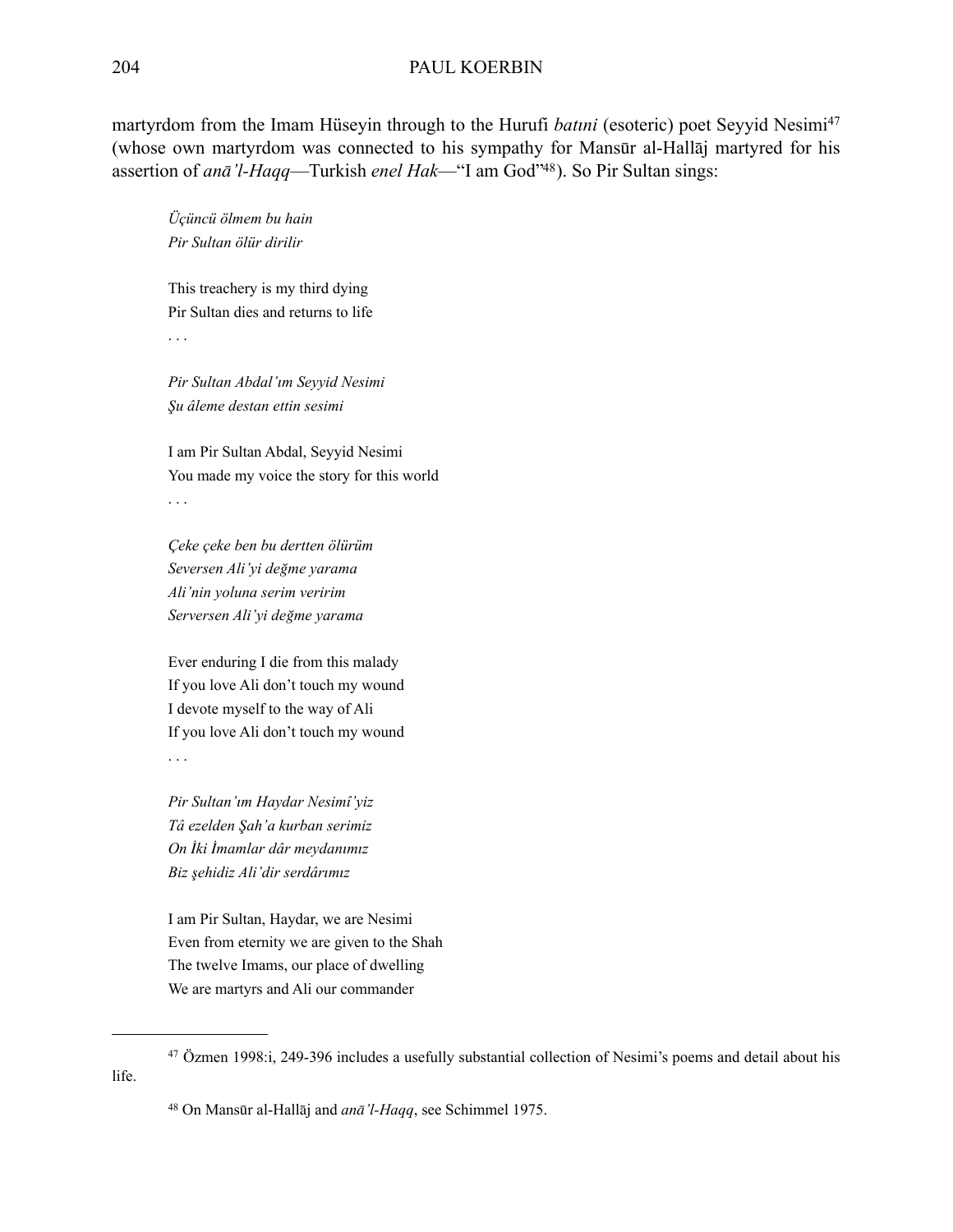martyrdom from the Imam Hüseyin through to the Hurufi *batini* (esoteric) poet Seyyid Nesimi<sup>47</sup> (whose own martyrdom was connected to his sympathy for Mansūr al-Hallāj martyred for his assertion of *anā'l-Haqq*—Turkish *enel Hak*—"I am God["48\)](#page-13-1). So Pir Sultan sings:

*Üçüncü ölmem bu hain Pir Sultan ölür dirilir*

This treachery is my third dying Pir Sultan dies and returns to life . . .

*Pir Sultan Abdal'ım Seyyid Nesimi Şu âleme destan ettin sesimi*

I am Pir Sultan Abdal, Seyyid Nesimi You made my voice the story for this world . . .

*Çeke çeke ben bu dertten ölürüm Seversen Ali'yi değme yarama Ali'nin yoluna serim veririm Serversen Ali'yi değme yarama*

Ever enduring I die from this malady If you love Ali don't touch my wound I devote myself to the way of Ali If you love Ali don't touch my wound . . .

*Pir Sultan'ım Haydar Nesimî'yiz Tâ ezelden Şah'a kurban serimiz On İki İmamlar dâr meydanımız Biz şehidiz Ali'dir serdârımız*

I am Pir Sultan, Haydar, we are Nesimi Even from eternity we are given to the Shah The twelve Imams, our place of dwelling We are martyrs and Ali our commander

<span id="page-13-1"></span><span id="page-13-0"></span>48 On Mansūr al-Hallāj and *anā'l-Haqq*, see Schimmel 1975.

<sup>47</sup> Özmen 1998:i, 249-396 includes a usefully substantial collection of Nesimi's poems and detail about his life.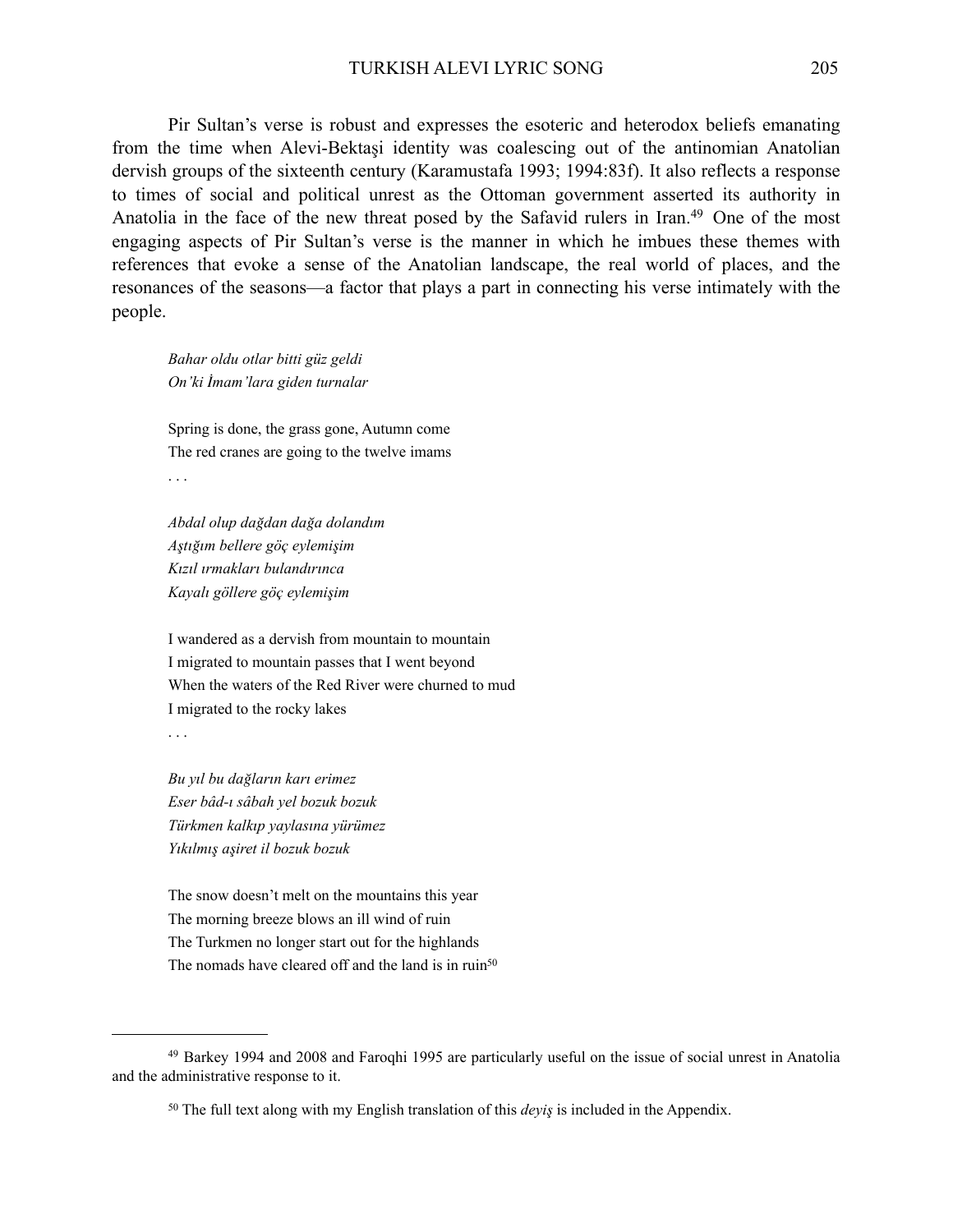Pir Sultan's verse is robust and expresses the esoteric and heterodox beliefs emanating from the time when Alevi-Bektaşi identity was coalescing out of the antinomian Anatolian dervish groups of the sixteenth century (Karamustafa 1993; 1994:83f). It also reflects a response to times of social and political unrest as the Ottoman government asserted its authority in Anatolia in the face of the new threat posed by the Safavid rulers in Iran.<sup>[49](#page-14-0)</sup> One of the most engaging aspects of Pir Sultan's verse is the manner in which he imbues these themes with references that evoke a sense of the Anatolian landscape, the real world of places, and the resonances of the seasons—a factor that plays a part in connecting his verse intimately with the people.

*Bahar oldu otlar bitti güz geldi On'ki İmam'lara giden turnalar*

Spring is done, the grass gone, Autumn come The red cranes are going to the twelve imams . . .

*Abdal olup dağdan dağa dolandım Aştığım bellere göç eylemişim Kızıl ırmakları bulandırınca Kayalı göllere göç eylemişim*

I wandered as a dervish from mountain to mountain I migrated to mountain passes that I went beyond When the waters of the Red River were churned to mud I migrated to the rocky lakes

. . .

*Bu yıl bu dağların karı erimez Eser bâd-ı sâbah yel bozuk bozuk Türkmen kalkıp yaylasına yürümez Yıkılmış aşiret il bozuk bozuk*

The snow doesn't melt on the mountains this year The morning breeze blows an ill wind of ruin The Turkmen no longer start out for the highlands The nomads have cleared off and the land is in ruin<sup>50</sup>

<sup>49</sup> Barkey 1994 and 2008 and Faroqhi 1995 are particularly useful on the issue of social unrest in Anatolia and the administrative response to it.

<span id="page-14-1"></span><span id="page-14-0"></span><sup>50</sup> The full text along with my English translation of this *deyiş* is included in the Appendix.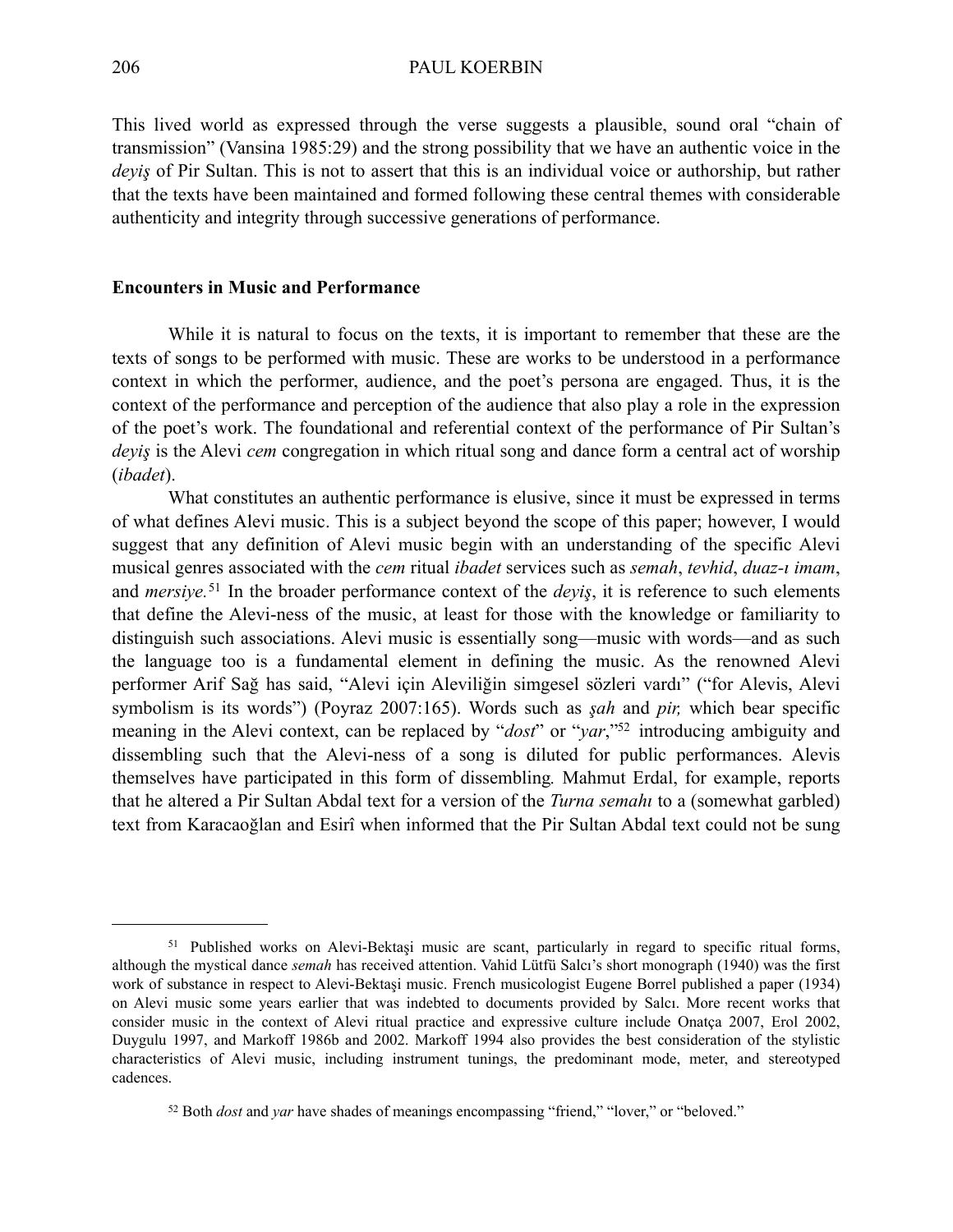This lived world as expressed through the verse suggests a plausible, sound oral "chain of transmission" (Vansina 1985:29) and the strong possibility that we have an authentic voice in the *deyiş* of Pir Sultan. This is not to assert that this is an individual voice or authorship, but rather that the texts have been maintained and formed following these central themes with considerable authenticity and integrity through successive generations of performance.

#### **Encounters in Music and Performance**

While it is natural to focus on the texts, it is important to remember that these are the texts of songs to be performed with music. These are works to be understood in a performance context in which the performer, audience, and the poet's persona are engaged. Thus, it is the context of the performance and perception of the audience that also play a role in the expression of the poet's work. The foundational and referential context of the performance of Pir Sultan's *deyiş* is the Alevi *cem* congregation in which ritual song and dance form a central act of worship (*ibadet*).

What constitutes an authentic performance is elusive, since it must be expressed in terms of what defines Alevi music. This is a subject beyond the scope of this paper; however, I would suggest that any definition of Alevi music begin with an understanding of the specific Alevi musical genres associated with the *cem* ritual *ibadet* services such as *semah*, *tevhid*, *duaz-ı imam*, and *mersiye.*[51](#page-15-0) In the broader performance context of the *deyiş*, it is reference to such elements that define the Alevi-ness of the music, at least for those with the knowledge or familiarity to distinguish such associations. Alevi music is essentially song—music with words—and as such the language too is a fundamental element in defining the music. As the renowned Alevi performer Arif Sağ has said, "Alevi için Aleviliğin simgesel sözleri vardı" ("for Alevis, Alevi symbolism is its words") (Poyraz 2007:165). Words such as *şah* and *pir,* which bear specific meaning in the Alevi context, can be replaced by "*dost*" or "*yar*,"<sup>52</sup> introducing ambiguity and dissembling such that the Alevi-ness of a song is diluted for public performances. Alevis themselves have participated in this form of dissembling*.* Mahmut Erdal, for example, reports that he altered a Pir Sultan Abdal text for a version of the *Turna semahı* to a (somewhat garbled) text from Karacaoğlan and Esirî when informed that the Pir Sultan Abdal text could not be sung

<span id="page-15-0"></span><sup>&</sup>lt;sup>51</sup> Published works on Alevi-Bektaşi music are scant, particularly in regard to specific ritual forms, although the mystical dance *semah* has received attention. Vahid Lütfü Salcı's short monograph (1940) was the first work of substance in respect to Alevi-Bektaşi music. French musicologist Eugene Borrel published a paper (1934) on Alevi music some years earlier that was indebted to documents provided by Salcı. More recent works that consider music in the context of Alevi ritual practice and expressive culture include Onatça 2007, Erol 2002, Duygulu 1997, and Markoff 1986b and 2002. Markoff 1994 also provides the best consideration of the stylistic characteristics of Alevi music, including instrument tunings, the predominant mode, meter, and stereotyped cadences.

<span id="page-15-1"></span><sup>52</sup> Both *dost* and *yar* have shades of meanings encompassing "friend," "lover," or "beloved."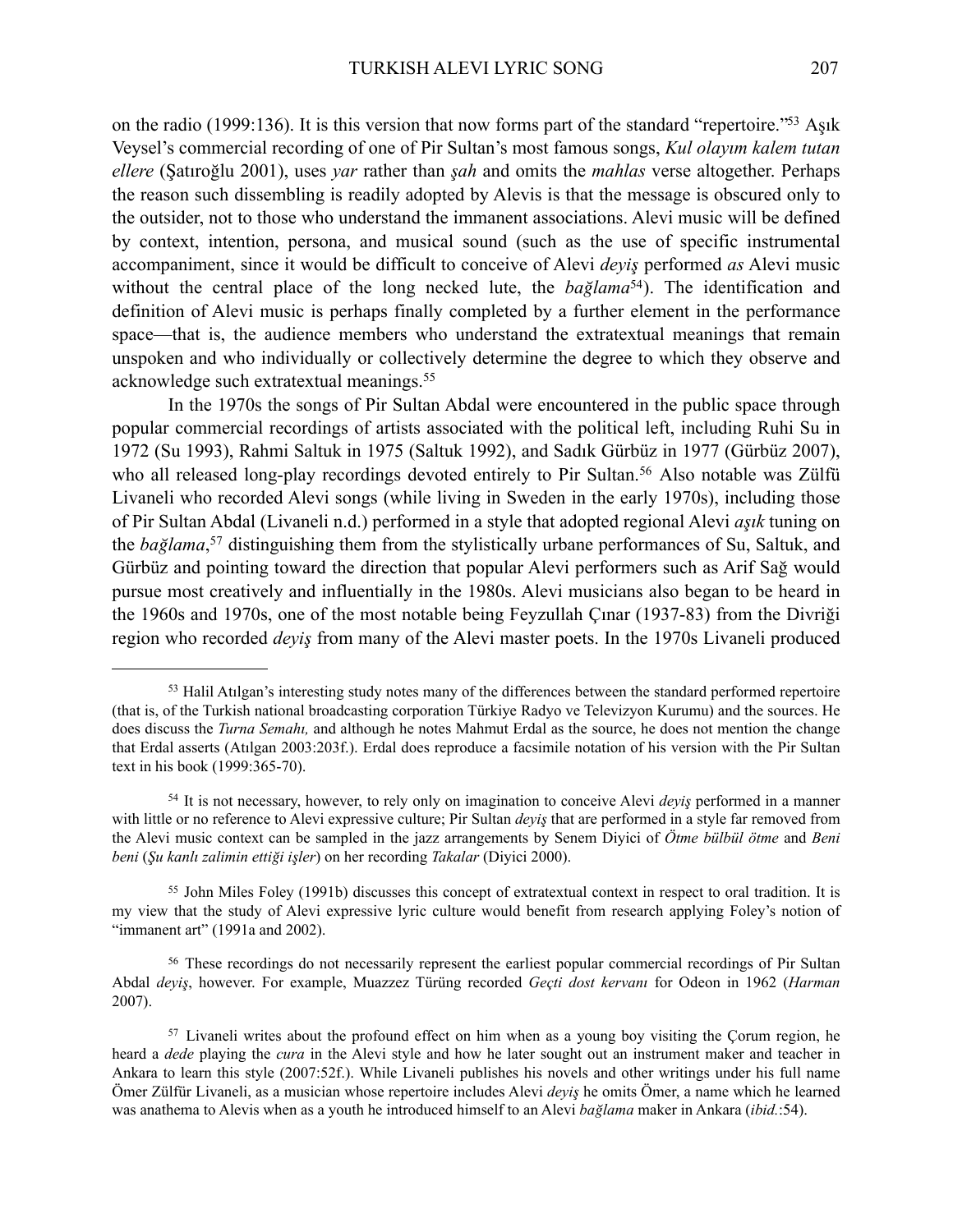on the radio (1999:136). It is this version that now forms part of the standard "repertoire.["53](#page-16-0) Aşık Veysel's commercial recording of one of Pir Sultan's most famous songs, *Kul olayım kalem tutan ellere* (Şatıroğlu 2001), uses *yar* rather than *şah* and omits the *mahlas* verse altogether. Perhaps the reason such dissembling is readily adopted by Alevis is that the message is obscured only to the outsider, not to those who understand the immanent associations. Alevi music will be defined by context, intention, persona, and musical sound (such as the use of specific instrumental accompaniment, since it would be difficult to conceive of Alevi *deyiş* performed *as* Alevi music without the central place of the long necked lute, the *bağlama*<sup>[54](#page-16-1)</sup>). The identification and definition of Alevi music is perhaps finally completed by a further element in the performance space—that is, the audience members who understand the extratextual meanings that remain unspoken and who individually or collectively determine the degree to which they observe and acknowledge such extratextual meanings.[55](#page-16-2)

In the 1970s the songs of Pir Sultan Abdal were encountered in the public space through popular commercial recordings of artists associated with the political left, including Ruhi Su in 1972 (Su 1993), Rahmi Saltuk in 1975 (Saltuk 1992), and Sadık Gürbüz in 1977 (Gürbüz 2007), who all released long-play recordings devoted entirely to Pir Sultan.<sup>[56](#page-16-3)</sup> Also notable was Zülfü Livaneli who recorded Alevi songs (while living in Sweden in the early 1970s), including those of Pir Sultan Abdal (Livaneli n.d.) performed in a style that adopted regional Alevi *aşık* tuning on the *bağlama*, [57](#page-16-4) distinguishing them from the stylistically urbane performances of Su, Saltuk, and Gürbüz and pointing toward the direction that popular Alevi performers such as Arif Sağ would pursue most creatively and influentially in the 1980s. Alevi musicians also began to be heard in the 1960s and 1970s, one of the most notable being Feyzullah Çınar (1937-83) from the Divriği region who recorded *deyiş* from many of the Alevi master poets. In the 1970s Livaneli produced

<span id="page-16-0"></span><sup>&</sup>lt;sup>53</sup> Halil Atilgan's interesting study notes many of the differences between the standard performed repertoire (that is, of the Turkish national broadcasting corporation Türkiye Radyo ve Televizyon Kurumu) and the sources. He does discuss the *Turna Semahı,* and although he notes Mahmut Erdal as the source, he does not mention the change that Erdal asserts (Atılgan 2003:203f.). Erdal does reproduce a facsimile notation of his version with the Pir Sultan text in his book (1999:365-70).

<span id="page-16-1"></span><sup>54</sup> It is not necessary, however, to rely only on imagination to conceive Alevi *deyiş* performed in a manner with little or no reference to Alevi expressive culture; Pir Sultan *deyiş* that are performed in a style far removed from the Alevi music context can be sampled in the jazz arrangements by Senem Diyici of *Ötme bülbül ötme* and *Beni beni* (*Şu kanlı zalimin ettiği işler*) on her recording *Takalar* (Diyici 2000).

<span id="page-16-2"></span><sup>55</sup> John Miles Foley (1991b) discusses this concept of extratextual context in respect to oral tradition. It is my view that the study of Alevi expressive lyric culture would benefit from research applying Foley's notion of "immanent art" (1991a and 2002).

<span id="page-16-3"></span><sup>56</sup> These recordings do not necessarily represent the earliest popular commercial recordings of Pir Sultan Abdal *deyiş*, however. For example, Muazzez Türüng recorded *Geçti dost kervanı* for Odeon in 1962 (*Harman* 2007).

<span id="page-16-4"></span><sup>&</sup>lt;sup>57</sup> Livaneli writes about the profound effect on him when as a young boy visiting the Corum region, he heard a *dede* playing the *cura* in the Alevi style and how he later sought out an instrument maker and teacher in Ankara to learn this style (2007:52f.). While Livaneli publishes his novels and other writings under his full name Ömer Zülfür Livaneli, as a musician whose repertoire includes Alevi *deyiş* he omits Ömer, a name which he learned was anathema to Alevis when as a youth he introduced himself to an Alevi *bağlama* maker in Ankara (*ibid.*:54).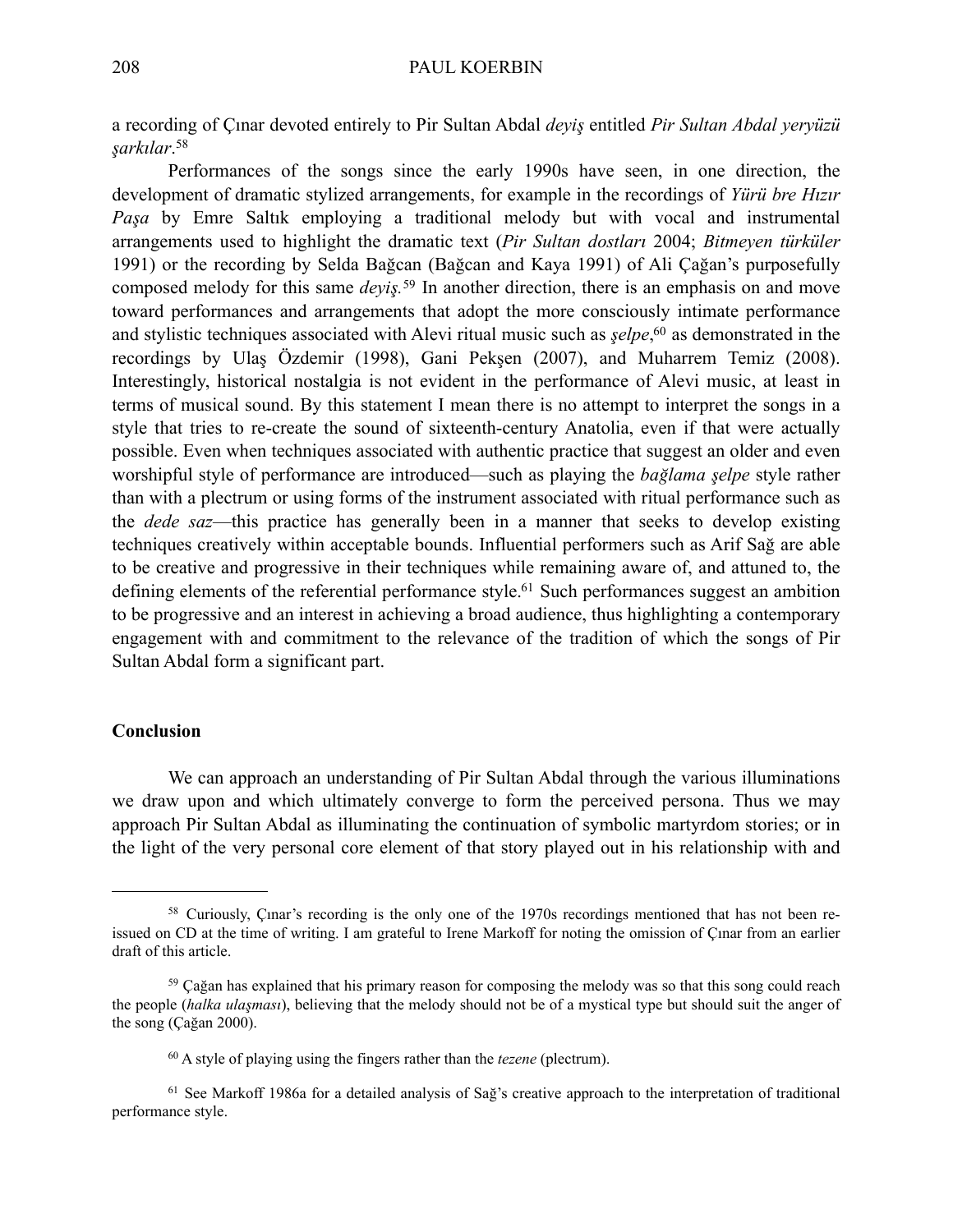a recording of Çınar devoted entirely to Pir Sultan Abdal *deyiş* entitled *Pir Sultan Abdal yeryüzü şarkılar*. [58](#page-17-0)

Performances of the songs since the early 1990s have seen, in one direction, the development of dramatic stylized arrangements, for example in the recordings of *Yürü bre Hızır Paşa* by Emre Saltık employing a traditional melody but with vocal and instrumental arrangements used to highlight the dramatic text (*Pir Sultan dostları* 2004; *Bitmeyen türküler* 1991) or the recording by Selda Bağcan (Bağcan and Kaya 1991) of Ali Çağan's purposefully composed melody for this same *deyiş.* [59](#page-17-1) In another direction, there is an emphasis on and move toward performances and arrangements that adopt the more consciously intimate performance and stylistic techniques associated with Alevi ritual music such as *şelpe*, [60](#page-17-2) as demonstrated in the recordings by Ulaş Özdemir (1998), Gani Pekşen (2007), and Muharrem Temiz (2008). Interestingly, historical nostalgia is not evident in the performance of Alevi music, at least in terms of musical sound. By this statement I mean there is no attempt to interpret the songs in a style that tries to re-create the sound of sixteenth-century Anatolia, even if that were actually possible. Even when techniques associated with authentic practice that suggest an older and even worshipful style of performance are introduced—such as playing the *bağlama şelpe* style rather than with a plectrum or using forms of the instrument associated with ritual performance such as the *dede saz*—this practice has generally been in a manner that seeks to develop existing techniques creatively within acceptable bounds. Influential performers such as Arif Sağ are able to be creative and progressive in their techniques while remaining aware of, and attuned to, the defining elements of the referential performance style.<sup>61</sup> Such performances suggest an ambition to be progressive and an interest in achieving a broad audience, thus highlighting a contemporary engagement with and commitment to the relevance of the tradition of which the songs of Pir Sultan Abdal form a significant part.

## **Conclusion**

We can approach an understanding of Pir Sultan Abdal through the various illuminations we draw upon and which ultimately converge to form the perceived persona. Thus we may approach Pir Sultan Abdal as illuminating the continuation of symbolic martyrdom stories; or in the light of the very personal core element of that story played out in his relationship with and

<span id="page-17-0"></span><sup>58</sup> Curiously, Çınar's recording is the only one of the 1970s recordings mentioned that has not been reissued on CD at the time of writing. I am grateful to Irene Markoff for noting the omission of Çınar from an earlier draft of this article.

<span id="page-17-1"></span><sup>&</sup>lt;sup>59</sup> Cağan has explained that his primary reason for composing the melody was so that this song could reach the people (*halka ulaşması*), believing that the melody should not be of a mystical type but should suit the anger of the song (Çağan 2000).

<span id="page-17-3"></span><span id="page-17-2"></span><sup>60</sup> A style of playing using the fingers rather than the *tezene* (plectrum).

<sup>61</sup> See Markoff 1986a for a detailed analysis of Sağ's creative approach to the interpretation of traditional performance style.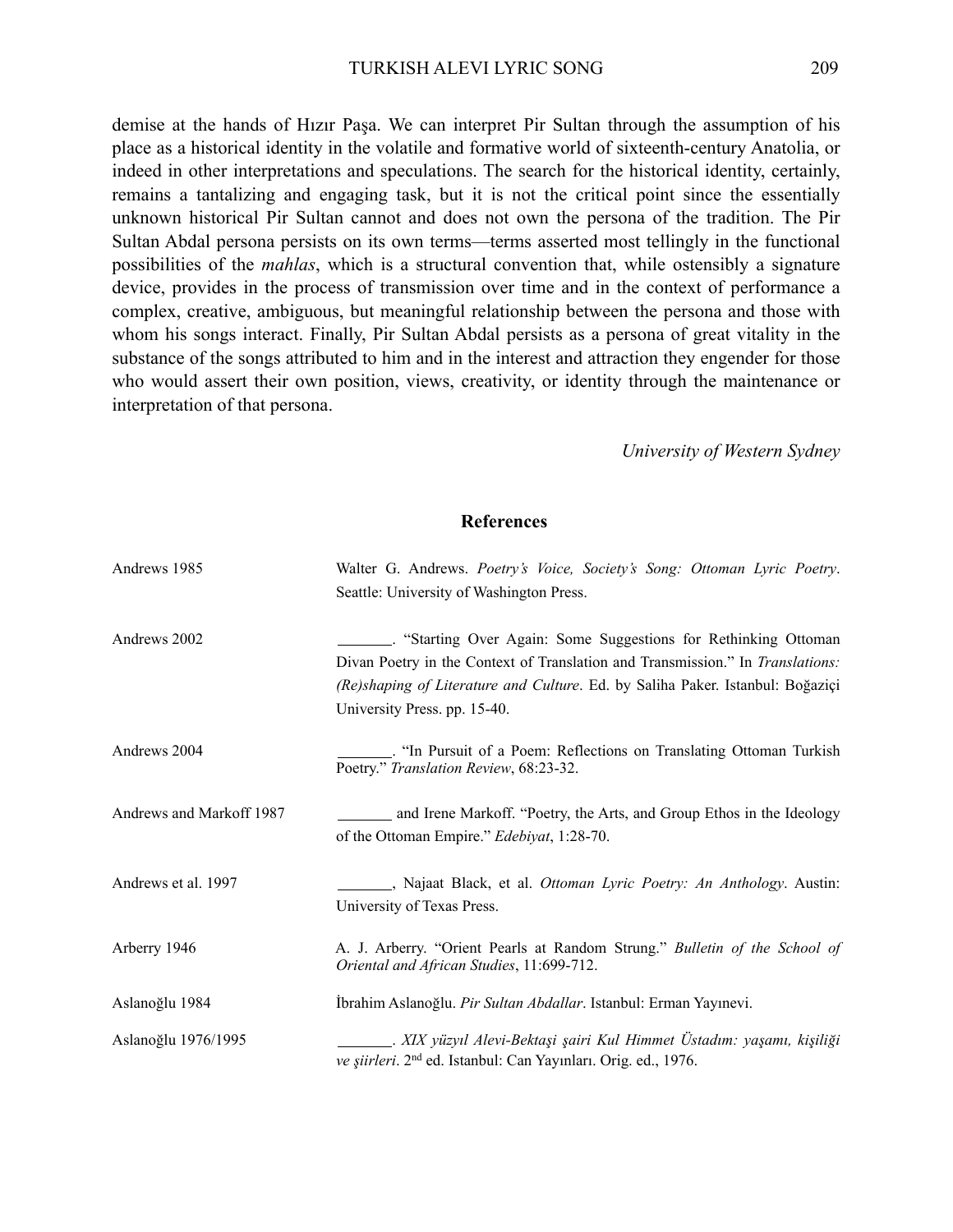demise at the hands of Hızır Paşa. We can interpret Pir Sultan through the assumption of his place as a historical identity in the volatile and formative world of sixteenth-century Anatolia, or indeed in other interpretations and speculations. The search for the historical identity, certainly, remains a tantalizing and engaging task, but it is not the critical point since the essentially unknown historical Pir Sultan cannot and does not own the persona of the tradition. The Pir Sultan Abdal persona persists on its own terms—terms asserted most tellingly in the functional possibilities of the *mahlas*, which is a structural convention that, while ostensibly a signature device, provides in the process of transmission over time and in the context of performance a complex, creative, ambiguous, but meaningful relationship between the persona and those with whom his songs interact. Finally, Pir Sultan Abdal persists as a persona of great vitality in the substance of the songs attributed to him and in the interest and attraction they engender for those who would assert their own position, views, creativity, or identity through the maintenance or interpretation of that persona.

*University of Western Sydney*

#### **References**

| Andrews 1985             | Walter G. Andrews. Poetry's Voice, Society's Song: Ottoman Lyric Poetry.<br>Seattle: University of Washington Press.                                                                             |
|--------------------------|--------------------------------------------------------------------------------------------------------------------------------------------------------------------------------------------------|
| Andrews 2002             | Divan Poetry in the Context of Translation and Transmission." In Translations:<br>(Re)shaping of Literature and Culture. Ed. by Saliha Paker. Istanbul: Boğaziçi<br>University Press. pp. 15-40. |
| Andrews 2004             | "In Pursuit of a Poem: Reflections on Translating Ottoman Turkish<br>Poetry." Translation Review, 68:23-32.                                                                                      |
| Andrews and Markoff 1987 | and Irene Markoff. "Poetry, the Arts, and Group Ethos in the Ideology<br>of the Ottoman Empire." <i>Edebiyat</i> , 1:28-70.                                                                      |
| Andrews et al. 1997      | Najaat Black, et al. Ottoman Lyric Poetry: An Anthology. Austin:<br>University of Texas Press.                                                                                                   |
| Arberry 1946             | A. J. Arberry. "Orient Pearls at Random Strung." Bulletin of the School of<br>Oriental and African Studies, 11:699-712.                                                                          |
| Aslanoğlu 1984           | İbrahim Aslanoğlu. Pir Sultan Abdallar. Istanbul: Erman Yayınevi.                                                                                                                                |
| Aslanoğlu 1976/1995      | . XIX yüzyıl Alevi-Bektaşi şairi Kul Himmet Üstadım: yaşamı, kişiliği<br>ve şiirleri. 2 <sup>nd</sup> ed. Istanbul: Can Yayınları. Orig. ed., 1976.                                              |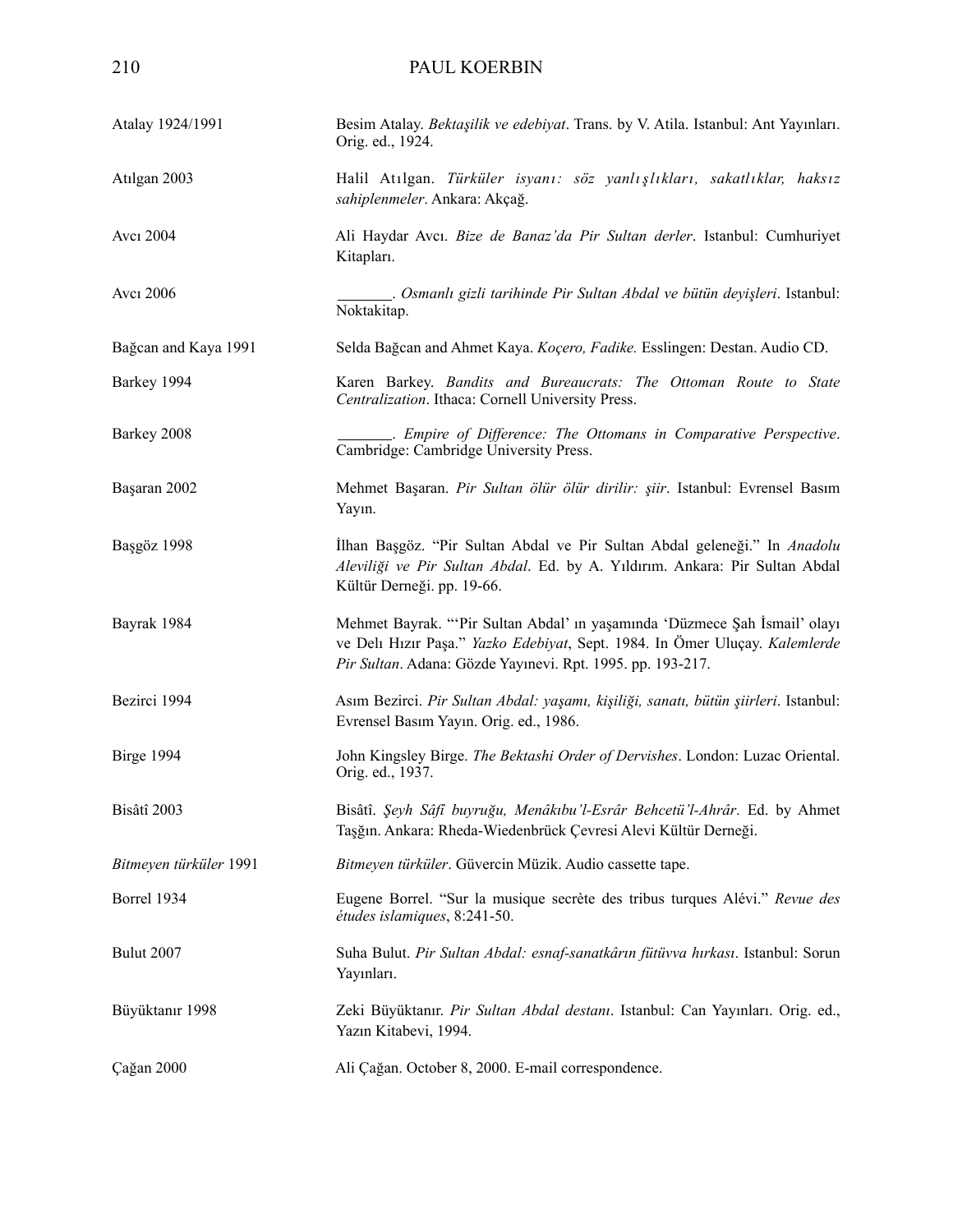| Atalay 1924/1991       | Besim Atalay. Bektaşilik ve edebiyat. Trans. by V. Atila. Istanbul: Ant Yayınları.<br>Orig. ed., 1924.                                                                                                                  |
|------------------------|-------------------------------------------------------------------------------------------------------------------------------------------------------------------------------------------------------------------------|
| Atılgan 2003           | Halil Atılgan. Türküler isyanı: söz yanlışlıkları, sakatlıklar, haksız<br>sahiplenmeler. Ankara: Akçağ.                                                                                                                 |
| Avcı 2004              | Ali Haydar Avcı. Bize de Banaz'da Pir Sultan derler. Istanbul: Cumhuriyet<br>Kitapları.                                                                                                                                 |
| Avcı 2006              | . Osmanlı gizli tarihinde Pir Sultan Abdal ve bütün deyişleri. Istanbul:<br>Noktakitap.                                                                                                                                 |
| Bağcan and Kaya 1991   | Selda Bağcan and Ahmet Kaya. Koçero, Fadike. Esslingen: Destan. Audio CD.                                                                                                                                               |
| Barkey 1994            | Karen Barkey. Bandits and Bureaucrats: The Ottoman Route to State<br>Centralization. Ithaca: Cornell University Press.                                                                                                  |
| Barkey 2008            | . Empire of Difference: The Ottomans in Comparative Perspective.<br>Cambridge: Cambridge University Press.                                                                                                              |
| Başaran 2002           | Mehmet Başaran. Pir Sultan ölür ölür dirilir: şiir. Istanbul: Evrensel Basım<br>Yayın.                                                                                                                                  |
| Başgöz 1998            | İlhan Başgöz. "Pir Sultan Abdal ve Pir Sultan Abdal geleneği." In Anadolu<br>Aleviliği ve Pir Sultan Abdal. Ed. by A. Yıldırım. Ankara: Pir Sultan Abdal<br>Kültür Derneği. pp. 19-66.                                  |
| Bayrak 1984            | Mehmet Bayrak. "'Pir Sultan Abdal' in yaşamında 'Düzmece Şah İsmail' olayı<br>ve Delı Hızır Paşa." Yazko Edebiyat, Sept. 1984. In Ömer Uluçay. Kalemlerde<br>Pir Sultan. Adana: Gözde Yayınevi. Rpt. 1995. pp. 193-217. |
| Bezirci 1994           | Asım Bezirci. Pir Sultan Abdal: yaşamı, kişiliği, sanatı, bütün şiirleri. Istanbul:<br>Evrensel Basım Yayın. Orig. ed., 1986.                                                                                           |
| Birge 1994             | John Kingsley Birge. The Bektashi Order of Dervishes. London: Luzac Oriental.<br>Orig. ed., 1937.                                                                                                                       |
| Bisâtî 2003            | Bisâtî. Şeyh Sâfî buyruğu, Menâkıbu'l-Esrâr Behcetü'l-Ahrâr. Ed. by Ahmet<br>Taşğın. Ankara: Rheda-Wiedenbrück Çevresi Alevi Kültür Derneği.                                                                            |
| Bitmeyen türküler 1991 | Bitmeyen türküler. Güvercin Müzik. Audio cassette tape.                                                                                                                                                                 |
| Borrel 1934            | Eugene Borrel. "Sur la musique secrète des tribus turques Alévi." Revue des<br>études islamiques, 8:241-50.                                                                                                             |
| Bulut 2007             | Suha Bulut. Pir Sultan Abdal: esnaf-sanatkârın fütüvva hırkası. Istanbul: Sorun<br>Yayınları.                                                                                                                           |
| Büyüktanır 1998        | Zeki Büyüktanır. Pir Sultan Abdal destanı. Istanbul: Can Yayınları. Orig. ed.,<br>Yazın Kitabevi, 1994.                                                                                                                 |
| Çağan 2000             | Ali Çağan. October 8, 2000. E-mail correspondence.                                                                                                                                                                      |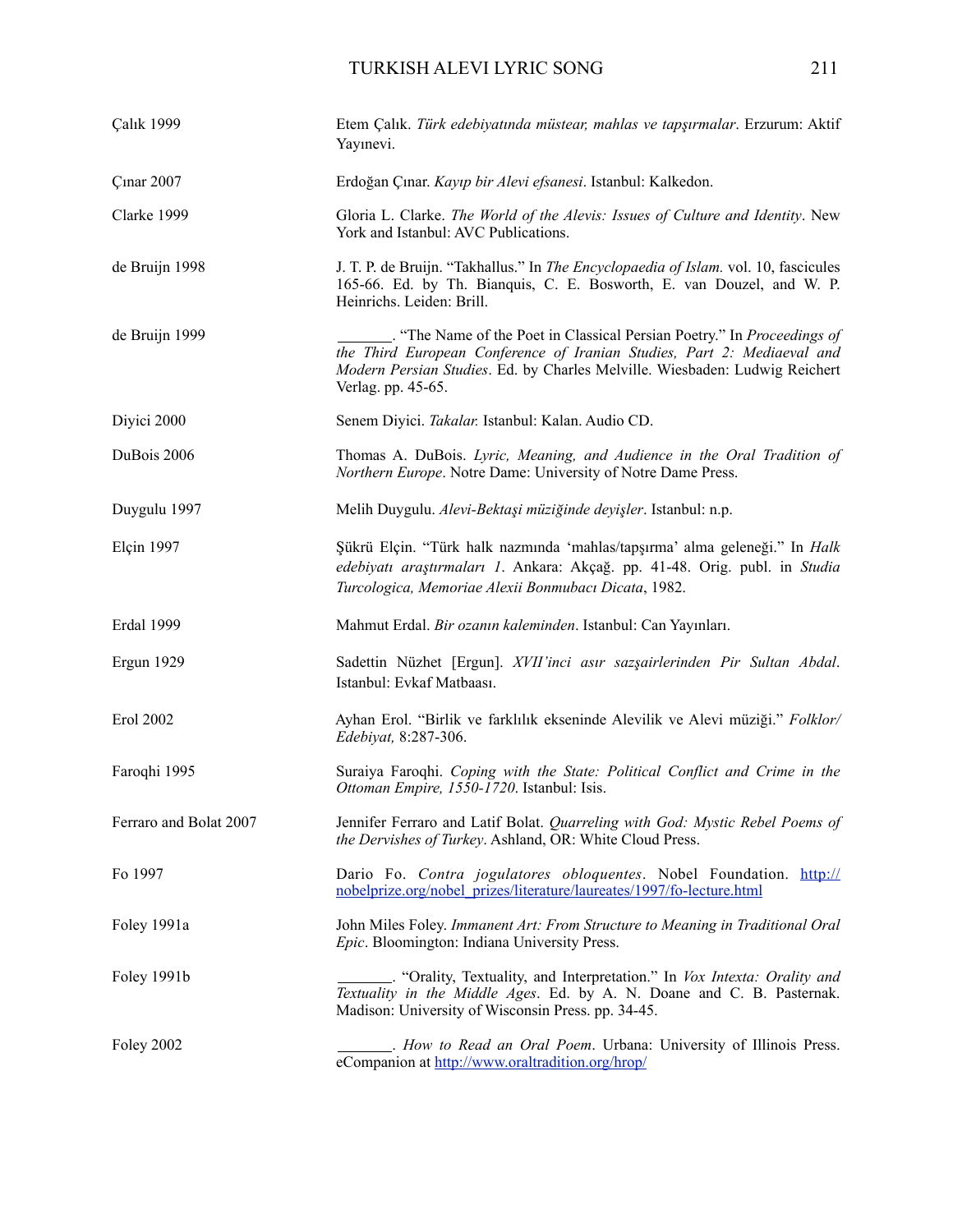## TURKISH ALEVI LYRIC SONG 211

| <b>Çalık 1999</b>      | Etem Çalık. Türk edebiyatında müstear, mahlas ve tapşırmalar. Erzurum: Aktif<br>Yayınevi.                                                                                                                                                             |
|------------------------|-------------------------------------------------------------------------------------------------------------------------------------------------------------------------------------------------------------------------------------------------------|
| <b>Cinar 2007</b>      | Erdoğan Çınar. Kayıp bir Alevi efsanesi. Istanbul: Kalkedon.                                                                                                                                                                                          |
| Clarke 1999            | Gloria L. Clarke. The World of the Alevis: Issues of Culture and Identity. New<br>York and Istanbul: AVC Publications.                                                                                                                                |
| de Bruijn 1998         | J. T. P. de Bruijn. "Takhallus." In The Encyclopaedia of Islam. vol. 10, fascicules<br>165-66. Ed. by Th. Bianquis, C. E. Bosworth, E. van Douzel, and W. P.<br>Heinrichs. Leiden: Brill.                                                             |
| de Bruijn 1999         | "The Name of the Poet in Classical Persian Poetry." In Proceedings of<br>the Third European Conference of Iranian Studies, Part 2: Mediaeval and<br>Modern Persian Studies. Ed. by Charles Melville. Wiesbaden: Ludwig Reichert<br>Verlag. pp. 45-65. |
| Diyici 2000            | Senem Divici. Takalar. Istanbul: Kalan. Audio CD.                                                                                                                                                                                                     |
| DuBois 2006            | Thomas A. DuBois. Lyric, Meaning, and Audience in the Oral Tradition of<br>Northern Europe. Notre Dame: University of Notre Dame Press.                                                                                                               |
| Duygulu 1997           | Melih Duygulu. Alevi-Bektaşi müziğinde deyişler. Istanbul: n.p.                                                                                                                                                                                       |
| Elçin 1997             | Şükrü Elçin. "Türk halk nazmında 'mahlas/tapşırma' alma geleneği." In Halk<br>edebiyatı araştırmaları 1. Ankara: Akçağ. pp. 41-48. Orig. publ. in Studia<br>Turcologica, Memoriae Alexii Bonmubacı Dicata, 1982.                                      |
| Erdal 1999             | Mahmut Erdal. Bir ozanın kaleminden. Istanbul: Can Yayınları.                                                                                                                                                                                         |
| Ergun 1929             | Sadettin Nüzhet [Ergun]. XVII'inci asır sazşairlerinden Pir Sultan Abdal.<br>Istanbul: Evkaf Matbaası.                                                                                                                                                |
| Erol 2002              | Ayhan Erol. "Birlik ve farklılık ekseninde Alevilik ve Alevi müziği." Folklor/<br>Edebiyat, 8:287-306.                                                                                                                                                |
| Faroqhi 1995           | Suraiya Faroqhi. Coping with the State: Political Conflict and Crime in the<br>Ottoman Empire, 1550-1720. Istanbul: Isis.                                                                                                                             |
| Ferraro and Bolat 2007 | Jennifer Ferraro and Latif Bolat. Quarreling with God: Mystic Rebel Poems of<br>the Dervishes of Turkey. Ashland, OR: White Cloud Press.                                                                                                              |
| Fo 1997                | Dario Fo. Contra jogulatores obloquentes. Nobel Foundation. http://<br>nobelprize.org/nobel_prizes/literature/laureates/1997/fo-lecture.html                                                                                                          |
| Foley 1991a            | John Miles Foley. Immanent Art: From Structure to Meaning in Traditional Oral<br>Epic. Bloomington: Indiana University Press.                                                                                                                         |
| Foley 1991b            | "Orality, Textuality, and Interpretation." In Vox Intexta: Orality and<br>Textuality in the Middle Ages. Ed. by A. N. Doane and C. B. Pasternak.<br>Madison: University of Wisconsin Press. pp. 34-45.                                                |
| <b>Foley 2002</b>      | eCompanion at http://www.oraltradition.org/hrop/                                                                                                                                                                                                      |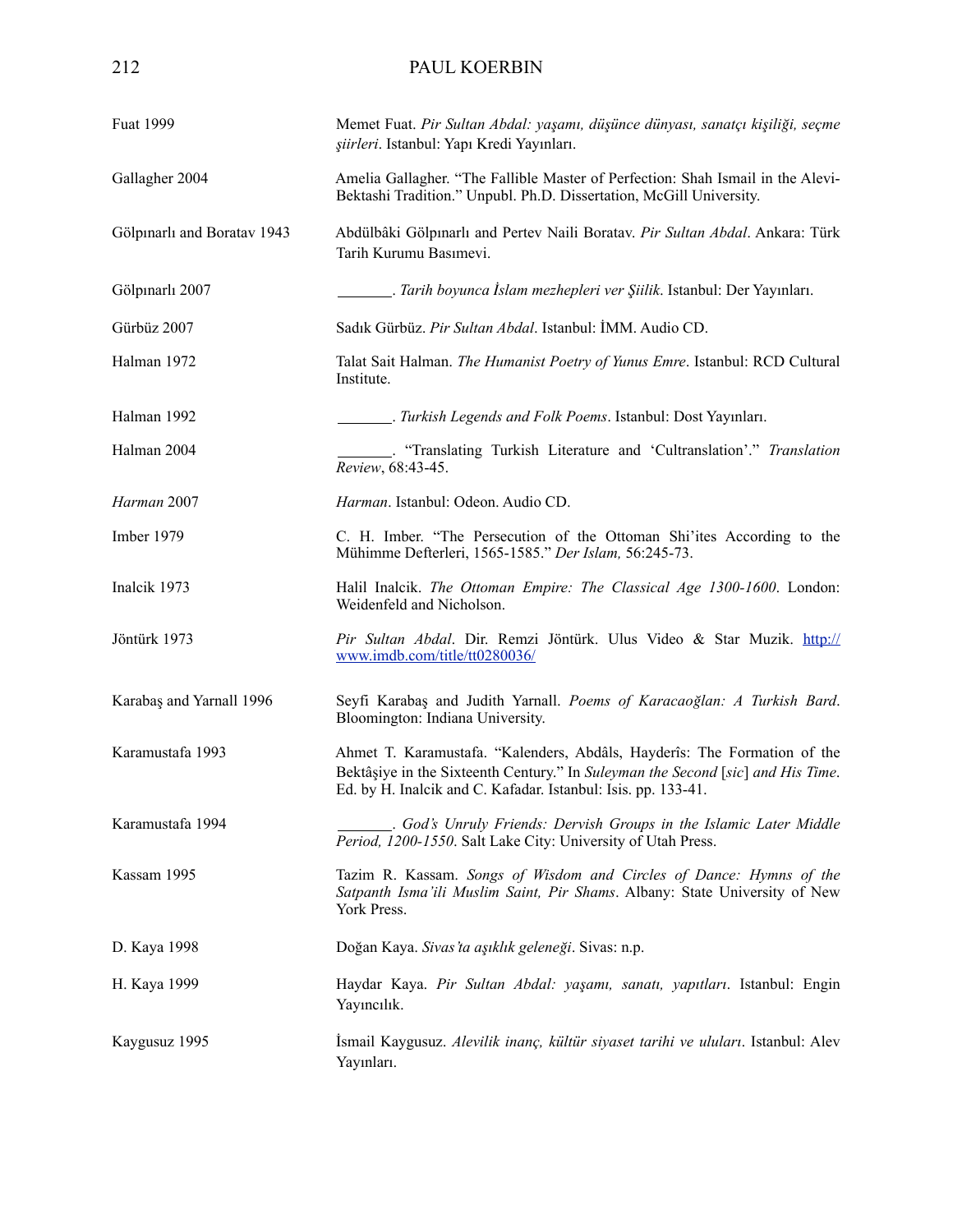| Fuat 1999                   | Memet Fuat. Pir Sultan Abdal: yaşamı, düşünce dünyası, sanatçı kişiliği, seçme<br>şiirleri. Istanbul: Yapı Kredi Yayınları.                                                                                                  |  |
|-----------------------------|------------------------------------------------------------------------------------------------------------------------------------------------------------------------------------------------------------------------------|--|
| Gallagher 2004              | Amelia Gallagher. "The Fallible Master of Perfection: Shah Ismail in the Alevi-<br>Bektashi Tradition." Unpubl. Ph.D. Dissertation, McGill University.                                                                       |  |
| Gölpınarlı and Boratav 1943 | Abdülbâki Gölpınarlı and Pertev Naili Boratav. Pir Sultan Abdal. Ankara: Türk<br>Tarih Kurumu Basımevi.                                                                                                                      |  |
| Gölpınarlı 2007             | . Tarih boyunca İslam mezhepleri ver Şiilik. Istanbul: Der Yayınları.                                                                                                                                                        |  |
| Gürbüz 2007                 | Sadık Gürbüz. Pir Sultan Abdal. Istanbul: İMM. Audio CD.                                                                                                                                                                     |  |
| Halman 1972                 | Talat Sait Halman. The Humanist Poetry of Yunus Emre. Istanbul: RCD Cultural<br>Institute.                                                                                                                                   |  |
| Halman 1992                 | Turkish Legends and Folk Poems. Istanbul: Dost Yayınları.                                                                                                                                                                    |  |
| Halman 2004                 | "Translating Turkish Literature and 'Cultranslation'." Translation<br>Review, 68:43-45.                                                                                                                                      |  |
| Harman 2007                 | Harman. Istanbul: Odeon. Audio CD.                                                                                                                                                                                           |  |
| Imber 1979                  | C. H. Imber. "The Persecution of the Ottoman Shi'ites According to the<br>Mühimme Defterleri, 1565-1585." Der Islam, 56:245-73.                                                                                              |  |
| Inalcik 1973                | Halil Inalcik. The Ottoman Empire: The Classical Age 1300-1600. London:<br>Weidenfeld and Nicholson.                                                                                                                         |  |
| Jöntürk 1973                | Pir Sultan Abdal. Dir. Remzi Jöntürk. Ulus Video & Star Muzik. http://<br>www.imdb.com/title/tt0280036/                                                                                                                      |  |
| Karabaş and Yarnall 1996    | Seyfi Karabaş and Judith Yarnall. Poems of Karacaoğlan: A Turkish Bard.<br>Bloomington: Indiana University.                                                                                                                  |  |
| Karamustafa 1993            | Ahmet T. Karamustafa. "Kalenders, Abdâls, Hayderîs: The Formation of the<br>Bektâșiye in the Sixteenth Century." In Suleyman the Second [sic] and His Time.<br>Ed. by H. Inalcik and C. Kafadar. Istanbul: Isis. pp. 133-41. |  |
| Karamustafa 1994            | . God's Unruly Friends: Dervish Groups in the Islamic Later Middle<br>Period, 1200-1550. Salt Lake City: University of Utah Press.                                                                                           |  |
| Kassam 1995                 | Tazim R. Kassam. Songs of Wisdom and Circles of Dance: Hymns of the<br>Satpanth Isma'ili Muslim Saint, Pir Shams. Albany: State University of New<br>York Press.                                                             |  |
| D. Kaya 1998                | Doğan Kaya. Sivas'ta aşıklık geleneği. Sivas: n.p.                                                                                                                                                                           |  |
| H. Kaya 1999                | Haydar Kaya. Pir Sultan Abdal: yaşamı, sanatı, yapıtları. Istanbul: Engin<br>Yayıncılık.                                                                                                                                     |  |
| Kaygusuz 1995               | İsmail Kaygusuz. Alevilik inanç, kültür siyaset tarihi ve uluları. Istanbul: Alev<br>Yayınları.                                                                                                                              |  |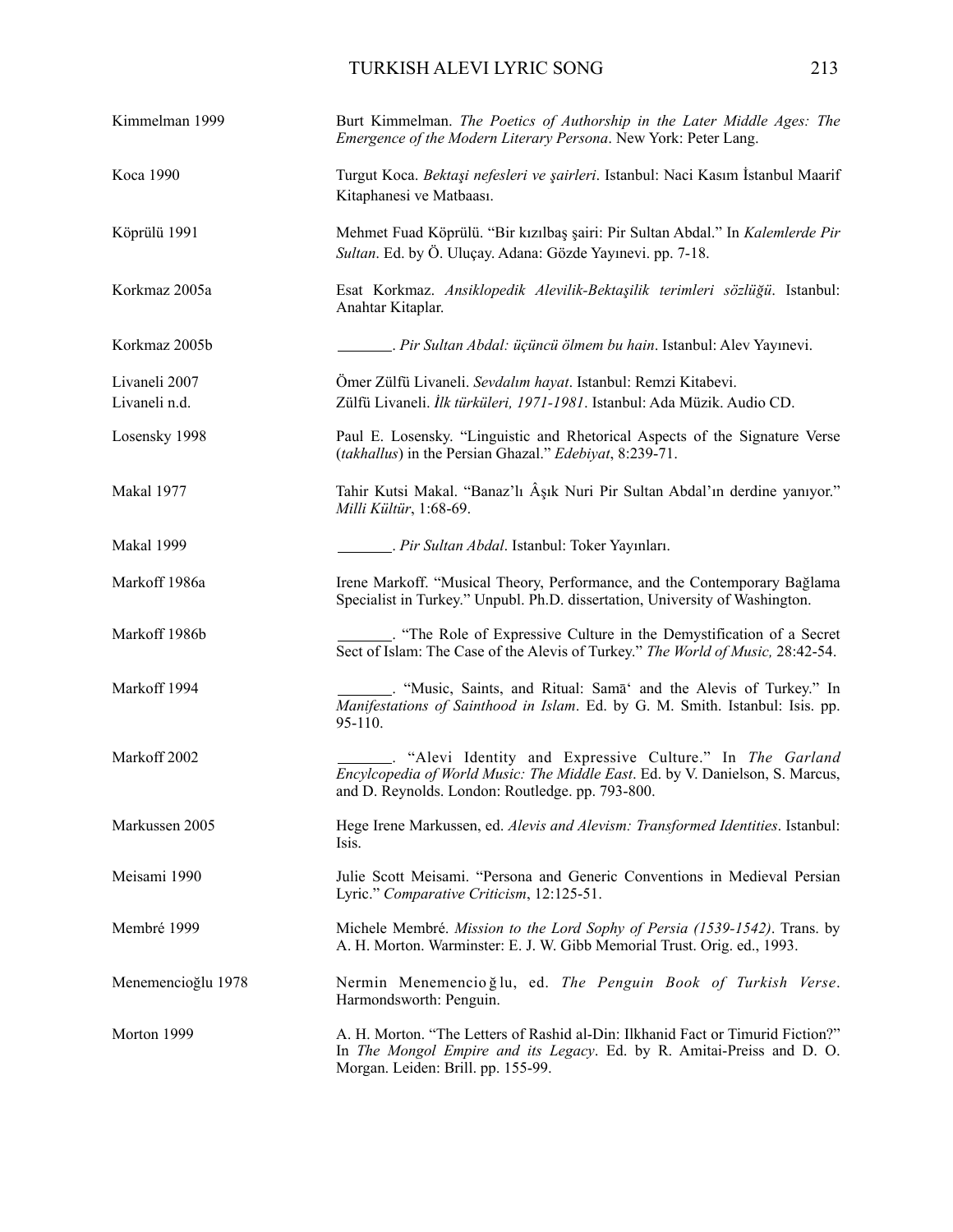# TURKISH ALEVI LYRIC SONG 213

| Kimmelman 1999                 | Burt Kimmelman. The Poetics of Authorship in the Later Middle Ages: The<br>Emergence of the Modern Literary Persona. New York: Peter Lang.                                                      |
|--------------------------------|-------------------------------------------------------------------------------------------------------------------------------------------------------------------------------------------------|
| Koca 1990                      | Turgut Koca. Bektaşi nefesleri ve şairleri. Istanbul: Naci Kasım İstanbul Maarif<br>Kitaphanesi ve Matbaası.                                                                                    |
| Köprülü 1991                   | Mehmet Fuad Köprülü. "Bir kızılbaş şairi: Pir Sultan Abdal." In Kalemlerde Pir<br>Sultan. Ed. by Ö. Uluçay. Adana: Gözde Yayınevi. pp. 7-18.                                                    |
| Korkmaz 2005a                  | Esat Korkmaz. Ansiklopedik Alevilik-Bektaşilik terimleri sözlüğü. Istanbul:<br>Anahtar Kitaplar.                                                                                                |
| Korkmaz 2005b                  | Pir Sultan Abdal: üçüncü ölmem bu hain. Istanbul: Alev Yayınevi.                                                                                                                                |
| Livaneli 2007<br>Livaneli n.d. | Ömer Zülfü Livaneli. Sevdalım hayat. Istanbul: Remzi Kitabevi.<br>Zülfü Livaneli. İlk türküleri, 1971-1981. Istanbul: Ada Müzik. Audio CD.                                                      |
| Losensky 1998                  | Paul E. Losensky. "Linguistic and Rhetorical Aspects of the Signature Verse<br>(takhallus) in the Persian Ghazal." Edebiyat, 8:239-71.                                                          |
| Makal 1977                     | Tahir Kutsi Makal. "Banaz'lı Âşık Nuri Pir Sultan Abdal'ın derdine yanıyor."<br>Milli Kültür, 1:68-69.                                                                                          |
| Makal 1999                     | <i>Pir Sultan Abdal</i> . Istanbul: Toker Yayınları.                                                                                                                                            |
| Markoff 1986a                  | Irene Markoff. "Musical Theory, Performance, and the Contemporary Bağlama<br>Specialist in Turkey." Unpubl. Ph.D. dissertation, University of Washington.                                       |
| Markoff 1986b                  | Sect of Islam: The Case of the Alevis of Turkey." The World of Music, 28:42-54.                                                                                                                 |
| Markoff 1994                   | "Music, Saints, and Ritual: Sama" and the Alevis of Turkey." In<br>Manifestations of Sainthood in Islam. Ed. by G. M. Smith. Istanbul: Isis. pp.<br>95-110.                                     |
| Markoff 2002                   | "Alevi Identity and Expressive Culture." In The Garland<br>Encylcopedia of World Music: The Middle East. Ed. by V. Danielson, S. Marcus,<br>and D. Reynolds. London: Routledge. pp. 793-800.    |
| Markussen 2005                 | Hege Irene Markussen, ed. Alevis and Alevism: Transformed Identities. Istanbul:<br>Isis.                                                                                                        |
| Meisami 1990                   | Julie Scott Meisami. "Persona and Generic Conventions in Medieval Persian<br>Lyric." Comparative Criticism, 12:125-51.                                                                          |
| Membré 1999                    | Michele Membré. Mission to the Lord Sophy of Persia (1539-1542). Trans. by<br>A. H. Morton. Warminster: E. J. W. Gibb Memorial Trust. Orig. ed., 1993.                                          |
| Menemencioğlu 1978             | Nermin Menemencioğlu, ed. The Penguin Book of Turkish Verse.<br>Harmondsworth: Penguin.                                                                                                         |
| Morton 1999                    | A. H. Morton. "The Letters of Rashid al-Din: Ilkhanid Fact or Timurid Fiction?"<br>In The Mongol Empire and its Legacy. Ed. by R. Amitai-Preiss and D. O.<br>Morgan. Leiden: Brill. pp. 155-99. |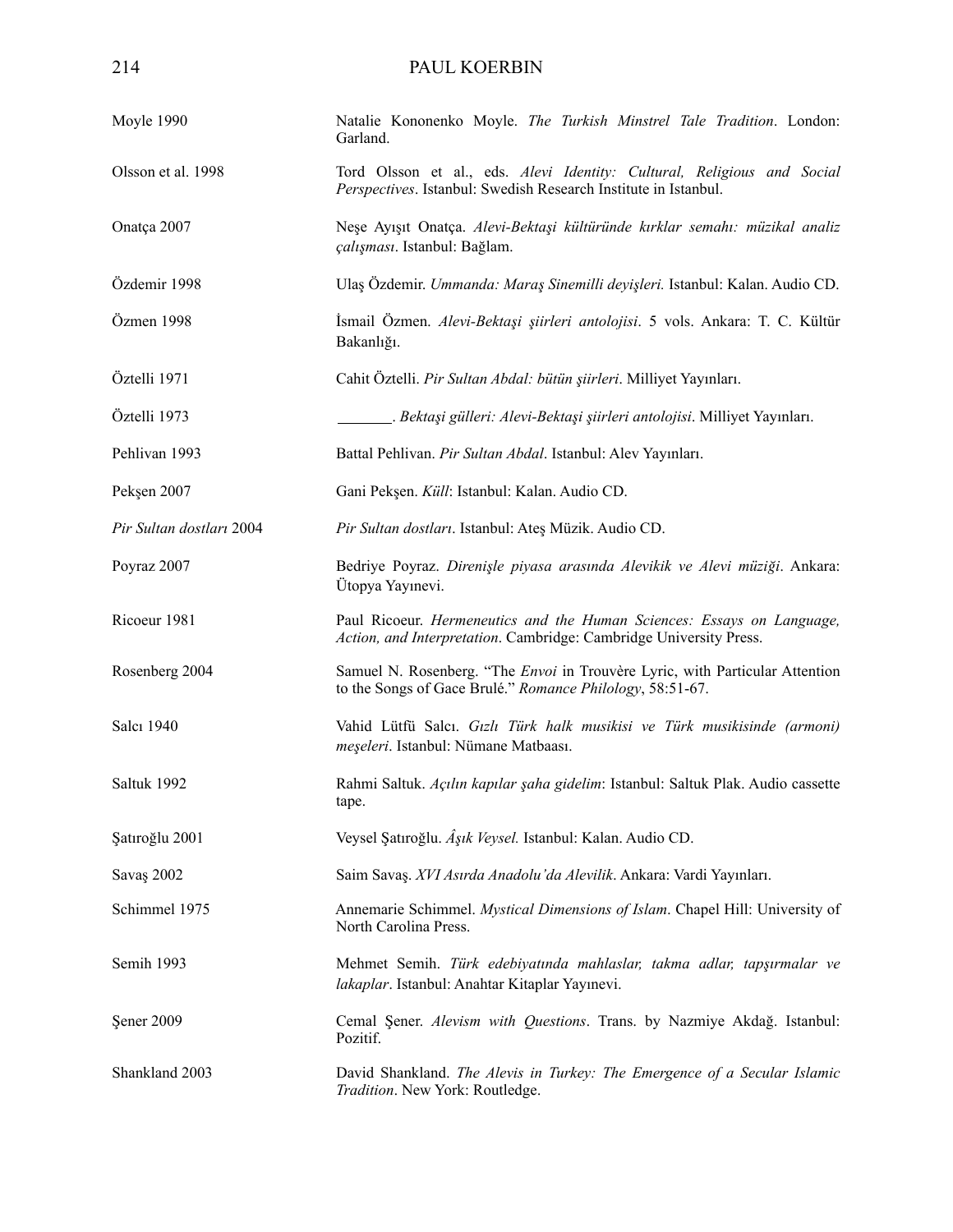| Moyle 1990               | Natalie Kononenko Moyle. The Turkish Minstrel Tale Tradition. London:<br>Garland.                                                                |  |
|--------------------------|--------------------------------------------------------------------------------------------------------------------------------------------------|--|
| Olsson et al. 1998       | Tord Olsson et al., eds. Alevi Identity: Cultural, Religious and Social<br>Perspectives. Istanbul: Swedish Research Institute in Istanbul.       |  |
| Onatça 2007              | Neşe Ayışıt Onatça. Alevi-Bektaşi kültüründe kırklar semahı: müzikal analiz<br>çalışması. Istanbul: Bağlam.                                      |  |
| Özdemir 1998             | Ulaş Özdemir. Ummanda: Maraş Sinemilli deyişleri. Istanbul: Kalan. Audio CD.                                                                     |  |
| Özmen 1998               | İsmail Özmen. Alevi-Bektaşi şiirleri antolojisi. 5 vols. Ankara: T. C. Kültür<br>Bakanlığı.                                                      |  |
| Öztelli 1971             | Cahit Öztelli. Pir Sultan Abdal: bütün şiirleri. Milliyet Yayınları.                                                                             |  |
| Öztelli 1973             | Bektaşi gülleri: Alevi-Bektaşi şiirleri antolojisi. Milliyet Yayınları.                                                                          |  |
| Pehlivan 1993            | Battal Pehlivan. Pir Sultan Abdal. Istanbul: Alev Yayınları.                                                                                     |  |
| Pekşen 2007              | Gani Pekşen. Küll: Istanbul: Kalan. Audio CD.                                                                                                    |  |
| Pir Sultan dostları 2004 | Pir Sultan dostları. Istanbul: Ateş Müzik. Audio CD.                                                                                             |  |
| Poyraz 2007              | Bedriye Poyraz. Direnişle piyasa arasında Alevikik ve Alevi müziği. Ankara:<br>Ütopya Yayınevi.                                                  |  |
| Ricoeur 1981             | Paul Ricoeur. Hermeneutics and the Human Sciences: Essays on Language,<br>Action, and Interpretation. Cambridge: Cambridge University Press.     |  |
| Rosenberg 2004           | Samuel N. Rosenberg. "The <i>Envoi</i> in Trouvère Lyric, with Particular Attention<br>to the Songs of Gace Brulé." Romance Philology, 58:51-67. |  |
| Salcı 1940               | Vahid Lütfü Salcı. Gızlı Türk halk musikisi ve Türk musikisinde (armoni)<br>meşeleri. Istanbul: Nümane Matbaası.                                 |  |
| Saltuk 1992              | Rahmi Saltuk. Açılın kapılar şaha gidelim: Istanbul: Saltuk Plak. Audio cassette<br>tape.                                                        |  |
| Şatıroğlu 2001           | Veysel Şatıroğlu. Âşık Veysel. Istanbul: Kalan. Audio CD.                                                                                        |  |
| Savaş 2002               | Saim Savaş. XVI Asırda Anadolu'da Alevilik. Ankara: Vardi Yayınları.                                                                             |  |
| Schimmel 1975            | Annemarie Schimmel. Mystical Dimensions of Islam. Chapel Hill: University of<br>North Carolina Press.                                            |  |
| Semih 1993               | Mehmet Semih. Türk edebiyatında mahlaslar, takma adlar, tapşırmalar ve<br>lakaplar. Istanbul: Anahtar Kitaplar Yayınevi.                         |  |
| Şener 2009               | Cemal Şener. Alevism with Questions. Trans. by Nazmiye Akdağ. Istanbul:<br>Pozitif.                                                              |  |
| Shankland 2003           | David Shankland. The Alevis in Turkey: The Emergence of a Secular Islamic<br>Tradition. New York: Routledge.                                     |  |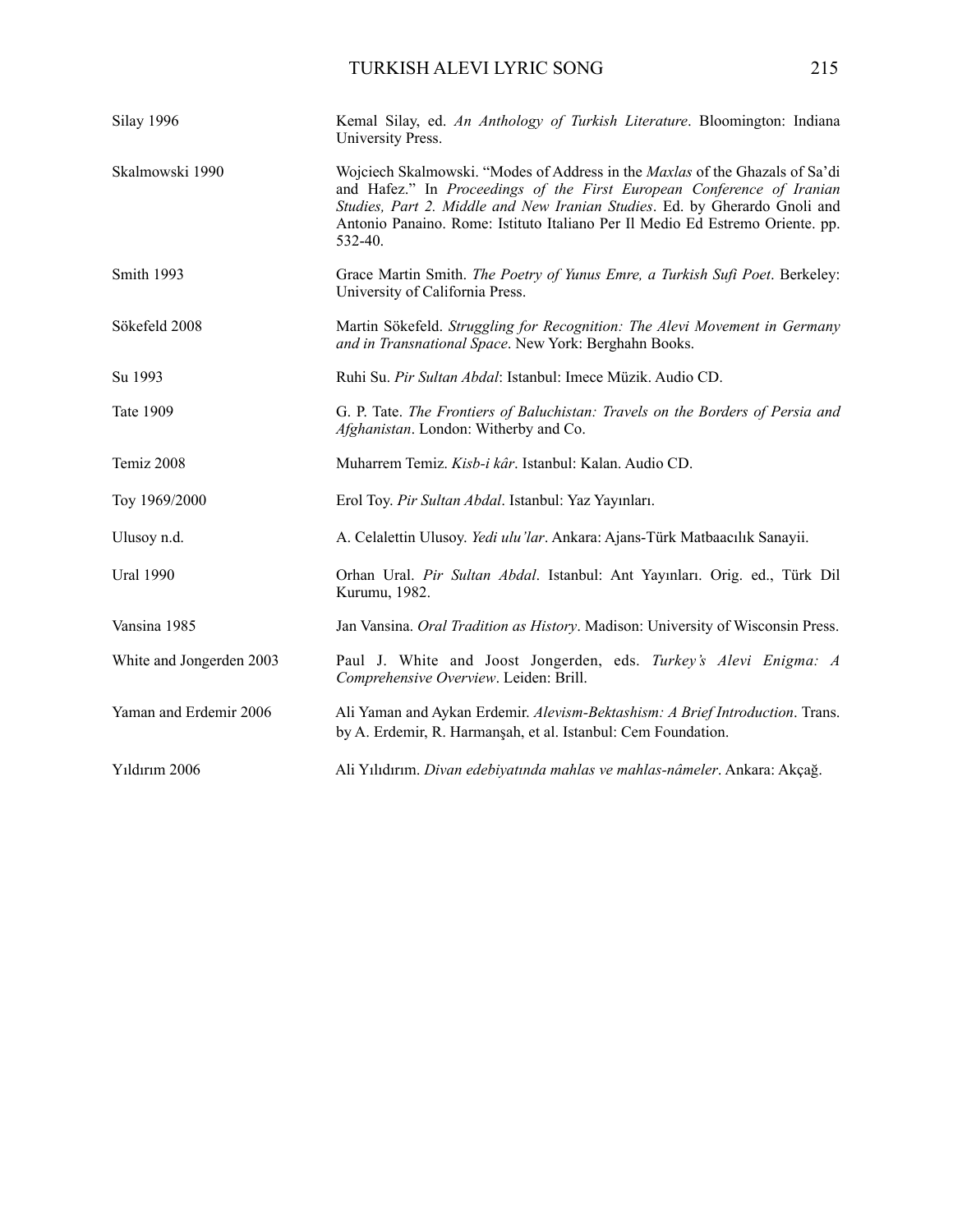| Silay 1996               | Kemal Silay, ed. An Anthology of Turkish Literature. Bloomington: Indiana<br>University Press.                                                                                                                                                                                                                                          |
|--------------------------|-----------------------------------------------------------------------------------------------------------------------------------------------------------------------------------------------------------------------------------------------------------------------------------------------------------------------------------------|
| Skalmowski 1990          | Wojciech Skalmowski. "Modes of Address in the <i>Maxlas</i> of the Ghazals of Sa'di<br>and Hafez." In Proceedings of the First European Conference of Iranian<br>Studies, Part 2. Middle and New Iranian Studies. Ed. by Gherardo Gnoli and<br>Antonio Panaino. Rome: Istituto Italiano Per Il Medio Ed Estremo Oriente. pp.<br>532-40. |
| Smith 1993               | Grace Martin Smith. The Poetry of Yunus Emre, a Turkish Sufi Poet. Berkeley:<br>University of California Press.                                                                                                                                                                                                                         |
| Sökefeld 2008            | Martin Sökefeld. Struggling for Recognition: The Alevi Movement in Germany<br>and in Transnational Space. New York: Berghahn Books.                                                                                                                                                                                                     |
| Su 1993                  | Ruhi Su. Pir Sultan Abdal: Istanbul: Imece Müzik. Audio CD.                                                                                                                                                                                                                                                                             |
| Tate 1909                | G. P. Tate. The Frontiers of Baluchistan: Travels on the Borders of Persia and<br>Afghanistan. London: Witherby and Co.                                                                                                                                                                                                                 |
| Temiz 2008               | Muharrem Temiz. Kisb-i kâr. Istanbul: Kalan. Audio CD.                                                                                                                                                                                                                                                                                  |
| Toy 1969/2000            | Erol Toy. Pir Sultan Abdal. Istanbul: Yaz Yayınları.                                                                                                                                                                                                                                                                                    |
| Ulusoy n.d.              | A. Celalettin Ulusoy. Yedi ulu'lar. Ankara: Ajans-Türk Matbaacılık Sanayii.                                                                                                                                                                                                                                                             |
| <b>Ural 1990</b>         | Orhan Ural. Pir Sultan Abdal. Istanbul: Ant Yayınları. Orig. ed., Türk Dil<br>Kurumu, 1982.                                                                                                                                                                                                                                             |
| Vansina 1985             | Jan Vansina. Oral Tradition as History. Madison: University of Wisconsin Press.                                                                                                                                                                                                                                                         |
| White and Jongerden 2003 | Paul J. White and Joost Jongerden, eds. Turkey's Alevi Enigma: A<br>Comprehensive Overview. Leiden: Brill.                                                                                                                                                                                                                              |
| Yaman and Erdemir 2006   | Ali Yaman and Aykan Erdemir. Alevism-Bektashism: A Brief Introduction. Trans.<br>by A. Erdemir, R. Harmanşah, et al. Istanbul: Cem Foundation.                                                                                                                                                                                          |
| Yıldırım 2006            | Ali Yılıdırım. Divan edebiyatında mahlas ve mahlas-nâmeler. Ankara: Akçağ.                                                                                                                                                                                                                                                              |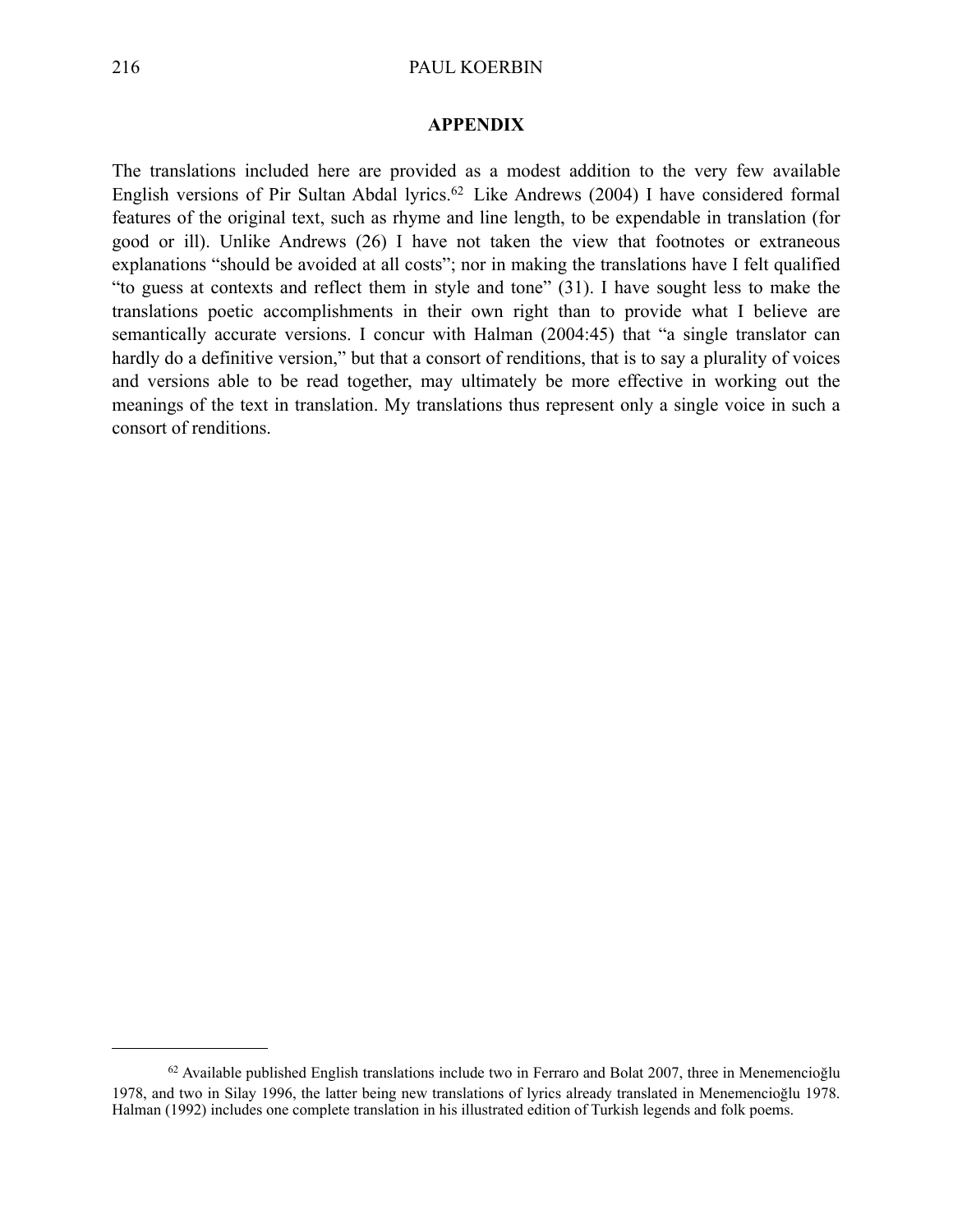#### **APPENDIX**

The translations included here are provided as a modest addition to the very few available English versions of Pir Sultan Abdal lyrics.<sup>[62](#page-25-0)</sup> Like Andrews (2004) I have considered formal features of the original text, such as rhyme and line length, to be expendable in translation (for good or ill). Unlike Andrews (26) I have not taken the view that footnotes or extraneous explanations "should be avoided at all costs"; nor in making the translations have I felt qualified "to guess at contexts and reflect them in style and tone" (31). I have sought less to make the translations poetic accomplishments in their own right than to provide what I believe are semantically accurate versions. I concur with Halman (2004:45) that "a single translator can hardly do a definitive version," but that a consort of renditions, that is to say a plurality of voices and versions able to be read together, may ultimately be more effective in working out the meanings of the text in translation. My translations thus represent only a single voice in such a consort of renditions.

<span id="page-25-0"></span> $62$  Available published English translations include two in Ferraro and Bolat 2007, three in Menemencioğlu 1978, and two in Silay 1996, the latter being new translations of lyrics already translated in Menemencioğlu 1978. Halman (1992) includes one complete translation in his illustrated edition of Turkish legends and folk poems.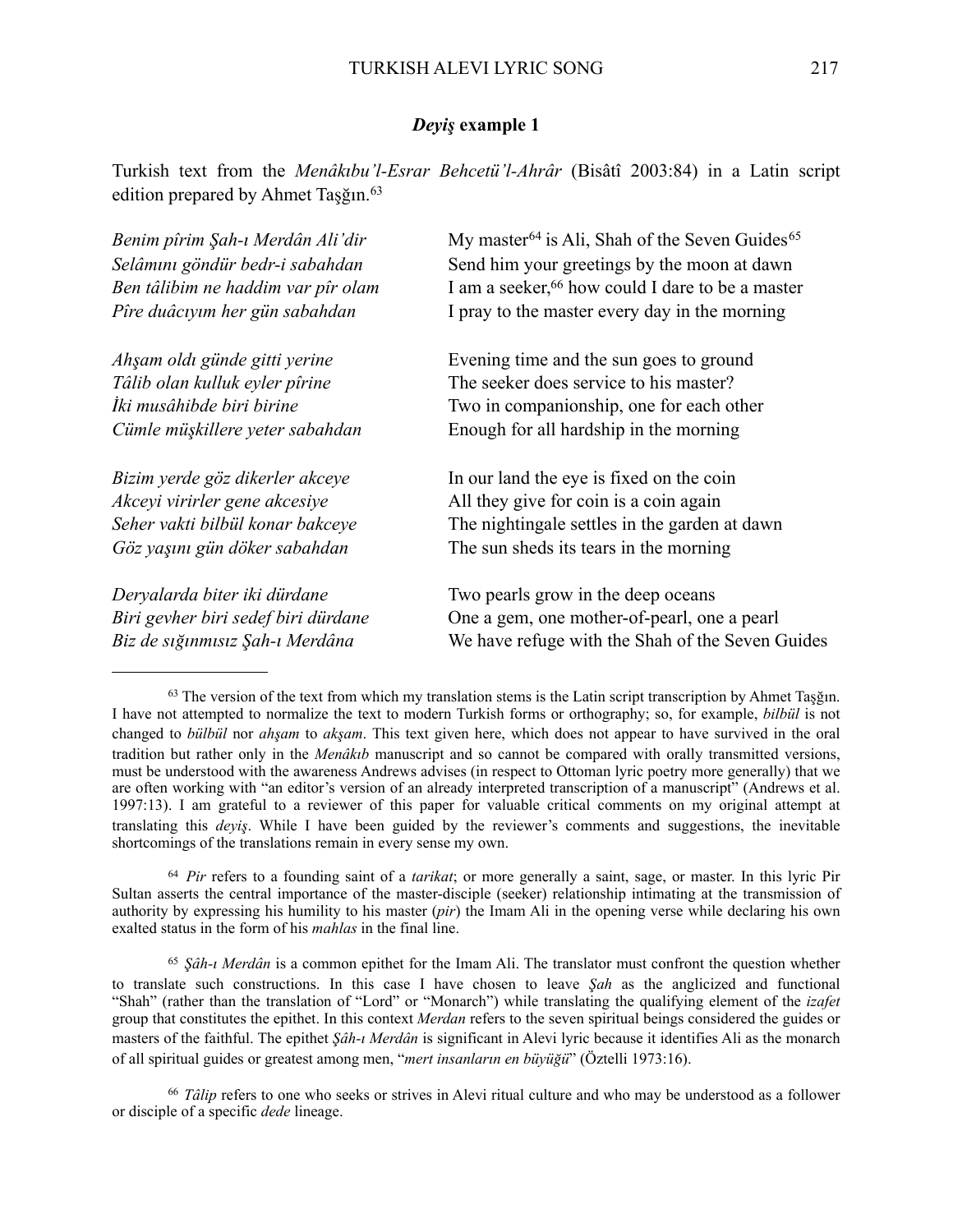### *Deyiş* **example 1**

Turkish text from the *Menâkıbu'l-Esrar Behcetü'l-Ahrâr* (Bisâtî 2003:84) in a Latin script edition prepared by Ahmet Taşğın.<sup>[63](#page-26-0)</sup>

| Benim pîrim Şah-ı Merdân Ali'dir    | My master <sup>64</sup> is Ali, Shah of the Seven Guides <sup>65</sup> |  |
|-------------------------------------|------------------------------------------------------------------------|--|
| Selâmını göndür bedr-i sabahdan     | Send him your greetings by the moon at dawn                            |  |
| Ben tâlibim ne haddim var pîr olam  | I am a seeker, <sup>66</sup> how could I dare to be a master           |  |
| Pîre duâciyim her gün sabahdan      | I pray to the master every day in the morning                          |  |
| Ahşam oldı günde gitti yerine       | Evening time and the sun goes to ground                                |  |
| Tâlib olan kulluk eyler pîrine      | The seeker does service to his master?                                 |  |
| İki musâhibde biri birine           | Two in companionship, one for each other                               |  |
| Cümle müşkillere yeter sabahdan     | Enough for all hardship in the morning                                 |  |
| Bizim yerde göz dikerler akceye     | In our land the eye is fixed on the coin                               |  |
| Akceyi virirler gene akcesiye       | All they give for coin is a coin again                                 |  |
| Seher vakti bilbül konar bakceye    | The nightingale settles in the garden at dawn                          |  |
| Göz yaşını gün döker sabahdan       | The sun sheds its tears in the morning                                 |  |
| Deryalarda biter iki dürdane        | Two pearls grow in the deep oceans                                     |  |
| Biri gevher biri sedef biri dürdane | One a gem, one mother-of-pearl, one a pearl                            |  |
| Biz de sığınmısız Şah-ı Merdâna     | We have refuge with the Shah of the Seven Guides                       |  |

<span id="page-26-0"></span><sup>63</sup> The version of the text from which my translation stems is the Latin script transcription by Ahmet Taşğın. I have not attempted to normalize the text to modern Turkish forms or orthography; so, for example, *bilbül* is not changed to *bülbül* nor *ahşam* to *akşam*. This text given here, which does not appear to have survived in the oral tradition but rather only in the *Menâkıb* manuscript and so cannot be compared with orally transmitted versions, must be understood with the awareness Andrews advises (in respect to Ottoman lyric poetry more generally) that we are often working with "an editor's version of an already interpreted transcription of a manuscript" (Andrews et al. 1997:13). I am grateful to a reviewer of this paper for valuable critical comments on my original attempt at translating this *deyiş*. While I have been guided by the reviewer's comments and suggestions, the inevitable shortcomings of the translations remain in every sense my own.

<span id="page-26-1"></span><sup>64</sup> *Pir* refers to a founding saint of a *tarikat*; or more generally a saint, sage, or master. In this lyric Pir Sultan asserts the central importance of the master-disciple (seeker) relationship intimating at the transmission of authority by expressing his humility to his master (*pir*) the Imam Ali in the opening verse while declaring his own exalted status in the form of his *mahlas* in the final line.

<span id="page-26-2"></span><sup>65</sup> *Şâh-ı Merdân* is a common epithet for the Imam Ali. The translator must confront the question whether to translate such constructions. In this case I have chosen to leave *Şah* as the anglicized and functional "Shah" (rather than the translation of "Lord" or "Monarch") while translating the qualifying element of the *izafet* group that constitutes the epithet. In this context *Merdan* refers to the seven spiritual beings considered the guides or masters of the faithful. The epithet *Şâh-ı Merdân* is significant in Alevi lyric because it identifies Ali as the monarch of all spiritual guides or greatest among men, "*mert insanların en büyüğü*" (Öztelli 1973:16).

<span id="page-26-3"></span><sup>66</sup> *Tâlip* refers to one who seeks or strives in Alevi ritual culture and who may be understood as a follower or disciple of a specific *dede* lineage.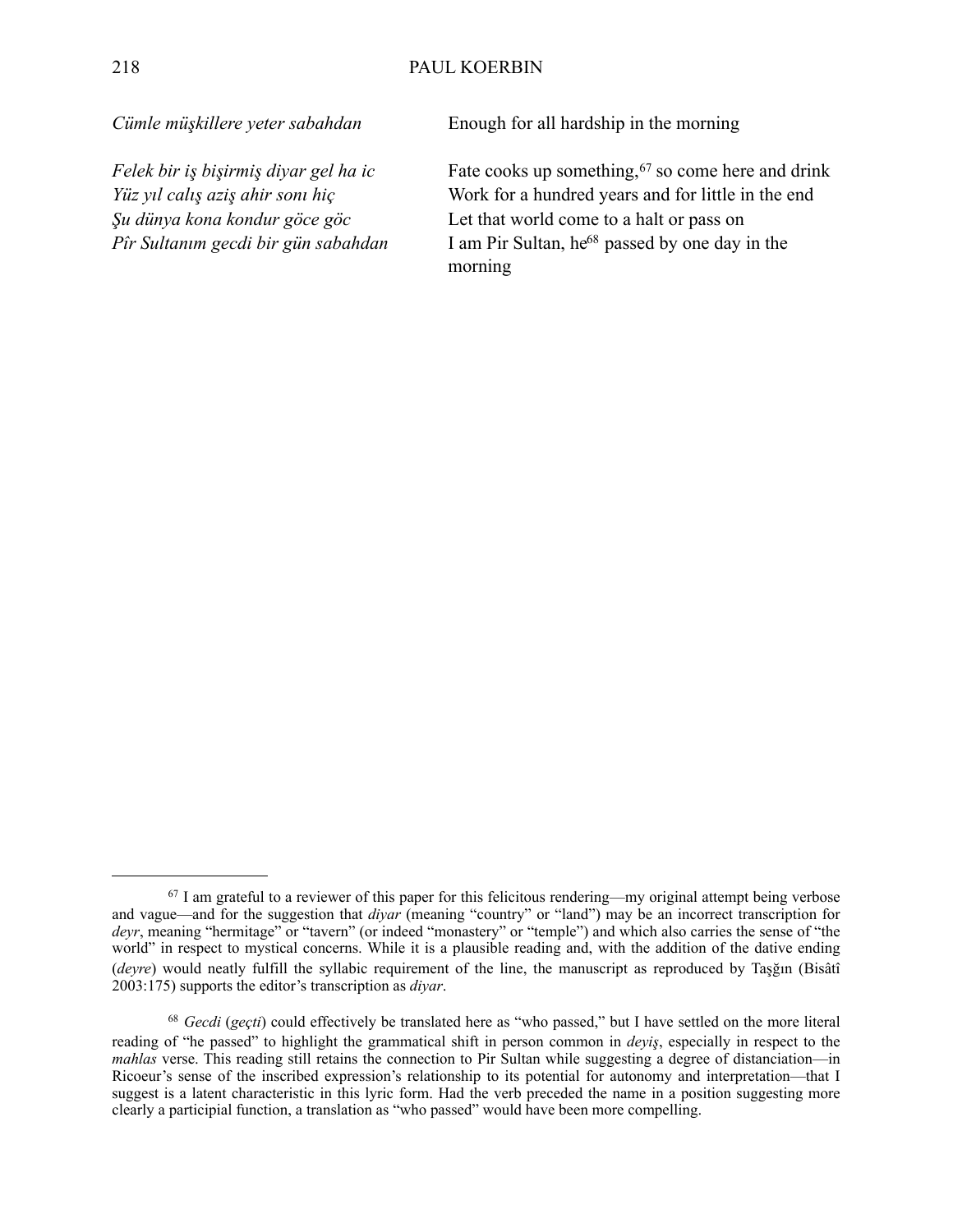*Cümle müşkillere yeter sabahdan* Enough for all hardship in the morning

*Felek bir iş bişirmiş diyar gel ha ic* Fate cooks up something,<sup>67</sup> so come here and drink *Yüz yıl calış aziş ahir sonı hiç* Work for a hundred years and for little in the end *Şu dünya kona kondur göce göc* Let that world come to a halt or pass on *Pîr Sultanım gecdi bir gün sabahdan* I am Pir Sultan, he<sup>68</sup> passed by one day in the morning

<span id="page-27-0"></span><sup>67</sup> I am grateful to a reviewer of this paper for this felicitous rendering—my original attempt being verbose and vague—and for the suggestion that *diyar* (meaning "country" or "land") may be an incorrect transcription for *deyr*, meaning "hermitage" or "tavern" (or indeed "monastery" or "temple") and which also carries the sense of "the world" in respect to mystical concerns. While it is a plausible reading and, with the addition of the dative ending (*deyre*) would neatly fulfill the syllabic requirement of the line, the manuscript as reproduced by Taşğın (Bisâtî 2003:175) supports the editor's transcription as *diyar*.

<span id="page-27-1"></span><sup>68</sup> *Gecdi* (*geçti*) could effectively be translated here as "who passed," but I have settled on the more literal reading of "he passed" to highlight the grammatical shift in person common in *deyiş*, especially in respect to the *mahlas* verse. This reading still retains the connection to Pir Sultan while suggesting a degree of distanciation—in Ricoeur's sense of the inscribed expression's relationship to its potential for autonomy and interpretation—that I suggest is a latent characteristic in this lyric form. Had the verb preceded the name in a position suggesting more clearly a participial function, a translation as "who passed" would have been more compelling.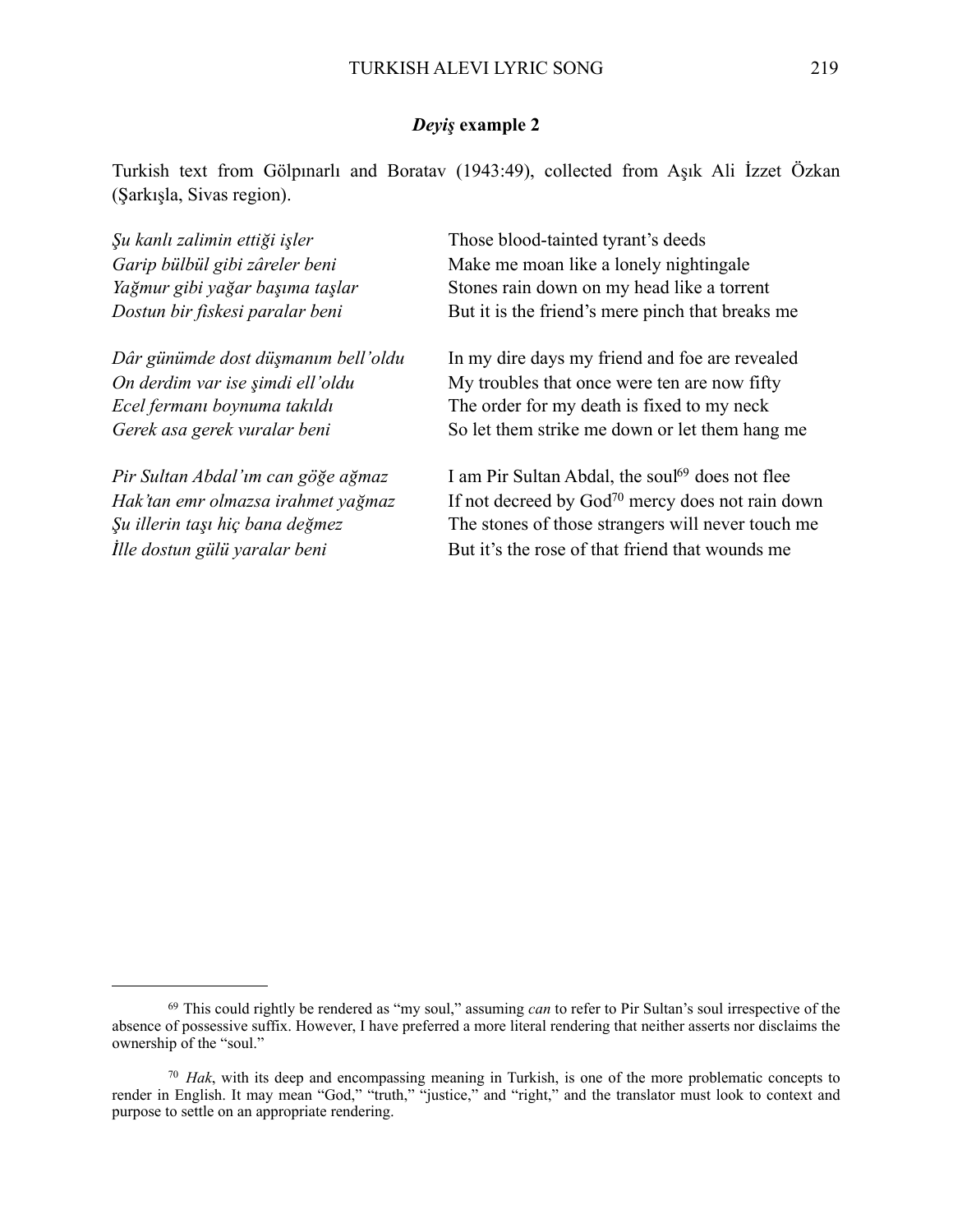## *Deyiş* **example 2**

Turkish text from Gölpınarlı and Boratav (1943:49), collected from Aşık Ali İzzet Özkan (Şarkışla, Sivas region).

*Şu kanlı zalimin ettiği işler* Those blood-tainted tyrant's deeds *Garip bülbül gibi zâreler beni* Make me moan like a lonely nightingale *Yağmur gibi yağar başıma taşlar* Stones rain down on my head like a torrent *Dostun bir fiskesi paralar beni* But it is the friend's mere pinch that breaks me *Dâr günümde dost düşmanım bell'oldu* In my dire days my friend and foe are revealed *On derdim var ise simdi ell'oldu* My troubles that once were ten are now fifty *Ecel fermanı boynuma takıldı* The order for my death is fixed to my neck *Gerek asa gerek vuralar beni* So let them strike me down or let them hang me *Pir Sultan Abdal'ım can göğe ağmaz* I am Pir Sultan Abdal, the sou[l69](#page-28-0) does not flee *Hak'tan emr olmazsa irahmet yağmaz* If not decreed by Go[d70](#page-28-1) mercy does not rain down *Şu illerin taşı hiç bana değmez* The stones of those strangers will never touch me

*<i>I*lle dostun gülü yaralar beni But it's the rose of that friend that wounds me

<span id="page-28-0"></span><sup>69</sup> This could rightly be rendered as "my soul," assuming *can* to refer to Pir Sultan's soul irrespective of the absence of possessive suffix. However, I have preferred a more literal rendering that neither asserts nor disclaims the ownership of the "soul."

<span id="page-28-1"></span><sup>70</sup> *Hak*, with its deep and encompassing meaning in Turkish, is one of the more problematic concepts to render in English. It may mean "God," "truth," "justice," and "right," and the translator must look to context and purpose to settle on an appropriate rendering.